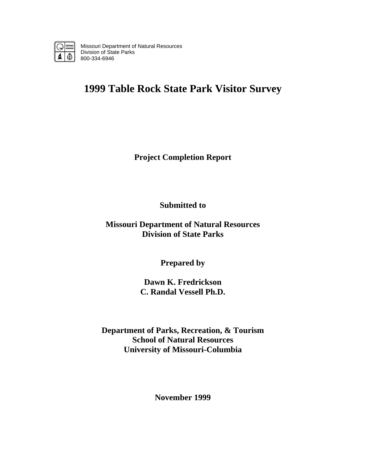

Missouri Department of Natural Resources Division of State Parks 800-334-6946

# **1999 Table Rock State Park Visitor Survey**

**Project Completion Report** 

**Submitted to** 

**Missouri Department of Natural Resources Division of State Parks** 

**Prepared by** 

**Dawn K. Fredrickson C. Randal Vessell Ph.D.** 

**Department of Parks, Recreation, & Tourism School of Natural Resources University of Missouri-Columbia** 

**November 1999**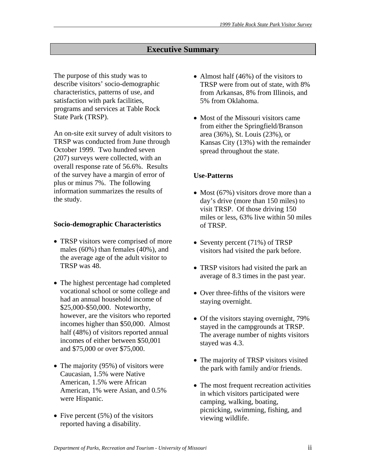# **Executive Summary**

The purpose of this study was to describe visitors' socio-demographic characteristics, patterns of use, and satisfaction with park facilities, programs and services at Table Rock State Park (TRSP).

An on-site exit survey of adult visitors to TRSP was conducted from June through October 1999. Two hundred seven (207) surveys were collected, with an overall response rate of 56.6%. Results of the survey have a margin of error of plus or minus 7%. The following information summarizes the results of the study.

#### **Socio-demographic Characteristics**

- TRSP visitors were comprised of more males (60%) than females (40%), and the average age of the adult visitor to TRSP was 48.
- The highest percentage had completed vocational school or some college and had an annual household income of \$25,000-\$50,000. Noteworthy, however, are the visitors who reported incomes higher than \$50,000. Almost half (48%) of visitors reported annual incomes of either between \$50,001 and \$75,000 or over \$75,000.
- The majority (95%) of visitors were Caucasian, 1.5% were Native American, 1.5% were African American, 1% were Asian, and 0.5% were Hispanic.
- Five percent  $(5\%)$  of the visitors reported having a disability.
- Almost half (46%) of the visitors to TRSP were from out of state, with 8% from Arkansas, 8% from Illinois, and 5% from Oklahoma.
- Most of the Missouri visitors came from either the Springfield/Branson area (36%), St. Louis (23%), or Kansas City (13%) with the remainder spread throughout the state.

# **Use-Patterns**

- Most (67%) visitors drove more than a day's drive (more than 150 miles) to visit TRSP. Of those driving 150 miles or less, 63% live within 50 miles of TRSP.
- Seventy percent (71%) of TRSP visitors had visited the park before.
- TRSP visitors had visited the park an average of 8.3 times in the past year.
- Over three-fifths of the visitors were staying overnight.
- Of the visitors staying overnight, 79% stayed in the campgrounds at TRSP. The average number of nights visitors stayed was 4.3.
- The majority of TRSP visitors visited the park with family and/or friends.
- The most frequent recreation activities in which visitors participated were camping, walking, boating, picnicking, swimming, fishing, and viewing wildlife.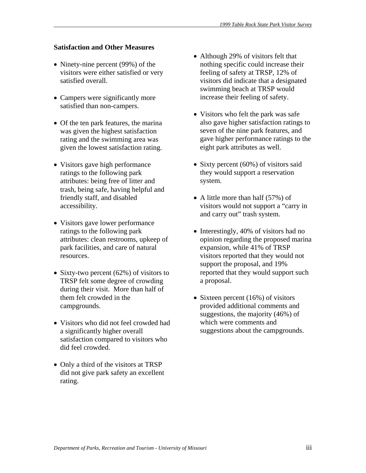# **Satisfaction and Other Measures**

- Ninety-nine percent (99%) of the visitors were either satisfied or very satisfied overall.
- Campers were significantly more satisfied than non-campers.
- Of the ten park features, the marina was given the highest satisfaction rating and the swimming area was given the lowest satisfaction rating.
- Visitors gave high performance ratings to the following park attributes: being free of litter and trash, being safe, having helpful and friendly staff, and disabled accessibility.
- Visitors gave lower performance ratings to the following park attributes: clean restrooms, upkeep of park facilities, and care of natural resources.
- Sixty-two percent (62%) of visitors to TRSP felt some degree of crowding during their visit. More than half of them felt crowded in the campgrounds.
- Visitors who did not feel crowded had a significantly higher overall satisfaction compared to visitors who did feel crowded.
- Only a third of the visitors at TRSP did not give park safety an excellent rating.
- Although 29% of visitors felt that nothing specific could increase their feeling of safety at TRSP, 12% of visitors did indicate that a designated swimming beach at TRSP would increase their feeling of safety.
- Visitors who felt the park was safe also gave higher satisfaction ratings to seven of the nine park features, and gave higher performance ratings to the eight park attributes as well.
- Sixty percent (60%) of visitors said they would support a reservation system.
- A little more than half (57%) of visitors would not support a "carry in and carry out" trash system.
- Interestingly, 40% of visitors had no opinion regarding the proposed marina expansion, while 41% of TRSP visitors reported that they would not support the proposal, and 19% reported that they would support such a proposal.
- Sixteen percent (16%) of visitors provided additional comments and suggestions, the majority (46%) of which were comments and suggestions about the campgrounds.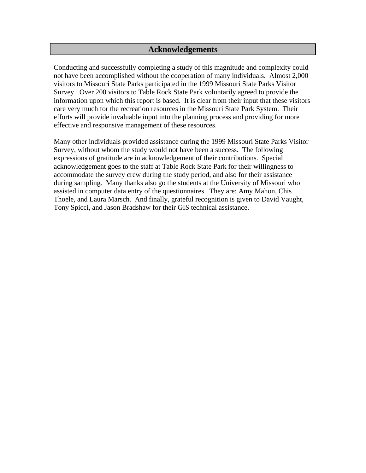# **Acknowledgements**

Conducting and successfully completing a study of this magnitude and complexity could not have been accomplished without the cooperation of many individuals. Almost 2,000 visitors to Missouri State Parks participated in the 1999 Missouri State Parks Visitor Survey. Over 200 visitors to Table Rock State Park voluntarily agreed to provide the information upon which this report is based. It is clear from their input that these visitors care very much for the recreation resources in the Missouri State Park System. Their efforts will provide invaluable input into the planning process and providing for more effective and responsive management of these resources.

Many other individuals provided assistance during the 1999 Missouri State Parks Visitor Survey, without whom the study would not have been a success. The following expressions of gratitude are in acknowledgement of their contributions. Special acknowledgement goes to the staff at Table Rock State Park for their willingness to accommodate the survey crew during the study period, and also for their assistance during sampling. Many thanks also go the students at the University of Missouri who assisted in computer data entry of the questionnaires. They are: Amy Mahon, Chis Thoele, and Laura Marsch. And finally, grateful recognition is given to David Vaught, Tony Spicci, and Jason Bradshaw for their GIS technical assistance.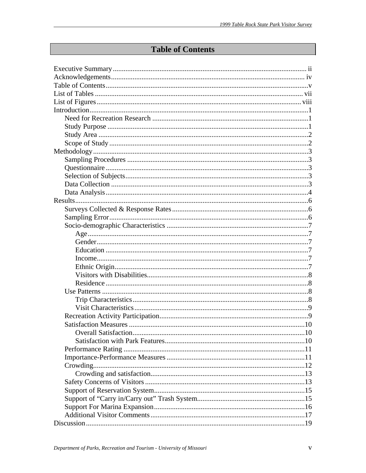# **Table of Contents**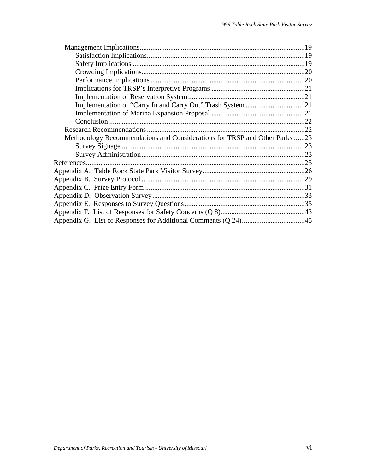| Methodology Recommendations and Considerations for TRSP and Other Parks 23 |  |
|----------------------------------------------------------------------------|--|
|                                                                            |  |
|                                                                            |  |
|                                                                            |  |
|                                                                            |  |
|                                                                            |  |
|                                                                            |  |
|                                                                            |  |
|                                                                            |  |
|                                                                            |  |
|                                                                            |  |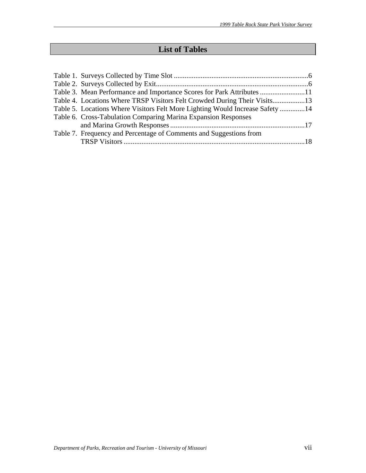# **List of Tables**

| Table 3. Mean Performance and Importance Scores for Park Attributes 11        |  |
|-------------------------------------------------------------------------------|--|
| Table 4. Locations Where TRSP Visitors Felt Crowded During Their Visits13     |  |
| Table 5. Locations Where Visitors Felt More Lighting Would Increase Safety 14 |  |
| Table 6. Cross-Tabulation Comparing Marina Expansion Responses                |  |
|                                                                               |  |
| Table 7. Frequency and Percentage of Comments and Suggestions from            |  |
|                                                                               |  |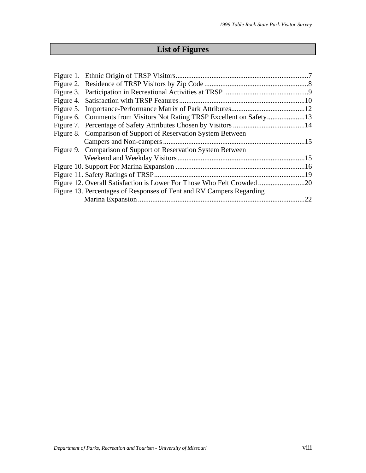# **List of Figures**

| 22 |
|----|
|    |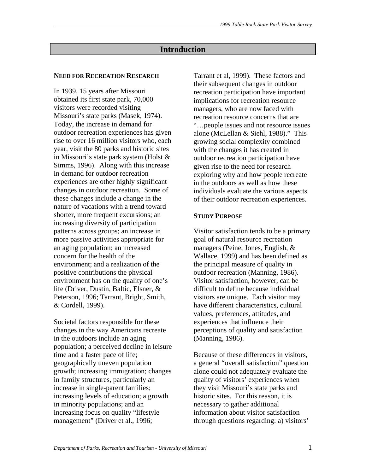# **Introduction**

#### **NEED FOR RECREATION RESEARCH**

In 1939, 15 years after Missouri obtained its first state park, 70,000 visitors were recorded visiting Missouri's state parks (Masek, 1974). Today, the increase in demand for outdoor recreation experiences has given rise to over 16 million visitors who, each year, visit the 80 parks and historic sites in Missouri's state park system (Holst & Simms, 1996). Along with this increase in demand for outdoor recreation experiences are other highly significant changes in outdoor recreation. Some of these changes include a change in the nature of vacations with a trend toward shorter, more frequent excursions; an increasing diversity of participation patterns across groups; an increase in more passive activities appropriate for an aging population; an increased concern for the health of the environment; and a realization of the positive contributions the physical environment has on the quality of one's life (Driver, Dustin, Baltic, Elsner, & Peterson, 1996; Tarrant, Bright, Smith, & Cordell, 1999).

Societal factors responsible for these changes in the way Americans recreate in the outdoors include an aging population; a perceived decline in leisure time and a faster pace of life; geographically uneven population growth; increasing immigration; changes in family structures, particularly an increase in single-parent families; increasing levels of education; a growth in minority populations; and an increasing focus on quality "lifestyle management" (Driver et al., 1996;

Tarrant et al, 1999). These factors and their subsequent changes in outdoor recreation participation have important implications for recreation resource managers, who are now faced with recreation resource concerns that are "…people issues and not resource issues alone (McLellan & Siehl, 1988)." This growing social complexity combined with the changes it has created in outdoor recreation participation have given rise to the need for research exploring why and how people recreate in the outdoors as well as how these individuals evaluate the various aspects of their outdoor recreation experiences.

#### **STUDY PURPOSE**

Visitor satisfaction tends to be a primary goal of natural resource recreation managers (Peine, Jones, English, & Wallace, 1999) and has been defined as the principal measure of quality in outdoor recreation (Manning, 1986). Visitor satisfaction, however, can be difficult to define because individual visitors are unique. Each visitor may have different characteristics, cultural values, preferences, attitudes, and experiences that influence their perceptions of quality and satisfaction (Manning, 1986).

Because of these differences in visitors, a general "overall satisfaction" question alone could not adequately evaluate the quality of visitors' experiences when they visit Missouri's state parks and historic sites. For this reason, it is necessary to gather additional information about visitor satisfaction through questions regarding: a) visitors'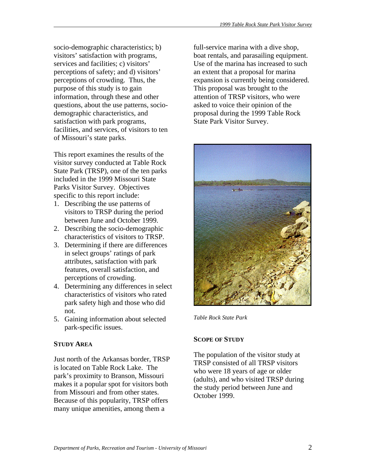socio-demographic characteristics; b) visitors' satisfaction with programs, services and facilities; c) visitors' perceptions of safety; and d) visitors' perceptions of crowding. Thus, the purpose of this study is to gain information, through these and other questions, about the use patterns, sociodemographic characteristics, and satisfaction with park programs, facilities, and services, of visitors to ten of Missouri's state parks.

This report examines the results of the visitor survey conducted at Table Rock State Park (TRSP), one of the ten parks included in the 1999 Missouri State Parks Visitor Survey. Objectives specific to this report include:

- 1. Describing the use patterns of visitors to TRSP during the period between June and October 1999.
- 2. Describing the socio-demographic characteristics of visitors to TRSP.
- 3. Determining if there are differences in select groups' ratings of park attributes, satisfaction with park features, overall satisfaction, and perceptions of crowding.
- 4. Determining any differences in select characteristics of visitors who rated park safety high and those who did not.
- 5. Gaining information about selected park-specific issues.

# **STUDY AREA**

Just north of the Arkansas border, TRSP is located on Table Rock Lake. The park's proximity to Branson, Missouri makes it a popular spot for visitors both from Missouri and from other states. Because of this popularity, TRSP offers many unique amenities, among them a

full-service marina with a dive shop, boat rentals, and parasailing equipment. Use of the marina has increased to such an extent that a proposal for marina expansion is currently being considered. This proposal was brought to the attention of TRSP visitors, who were asked to voice their opinion of the proposal during the 1999 Table Rock State Park Visitor Survey.



*Table Rock State Park*

# **SCOPE OF STUDY**

The population of the visitor study at TRSP consisted of all TRSP visitors who were 18 years of age or older (adults), and who visited TRSP during the study period between June and October 1999.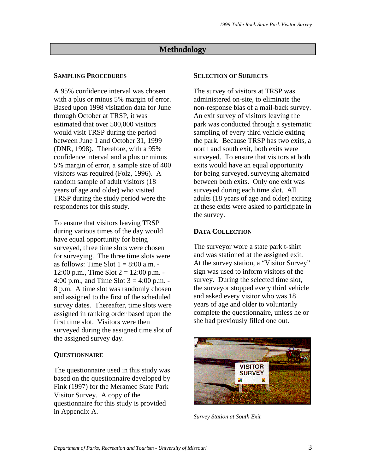# **Methodology**

# **SAMPLING PROCEDURES**

A 95% confidence interval was chosen with a plus or minus 5% margin of error. Based upon 1998 visitation data for June through October at TRSP, it was estimated that over 500,000 visitors would visit TRSP during the period between June 1 and October 31, 1999 (DNR, 1998). Therefore, with a 95% confidence interval and a plus or minus 5% margin of error, a sample size of 400 visitors was required (Folz, 1996). A random sample of adult visitors (18 years of age and older) who visited TRSP during the study period were the respondents for this study.

To ensure that visitors leaving TRSP during various times of the day would have equal opportunity for being surveyed, three time slots were chosen for surveying. The three time slots were as follows: Time Slot  $1 = 8:00$  a.m. -12:00 p.m., Time Slot  $2 = 12:00$  p.m. -4:00 p.m., and Time Slot  $3 = 4:00$  p.m. -8 p.m. A time slot was randomly chosen and assigned to the first of the scheduled survey dates. Thereafter, time slots were assigned in ranking order based upon the first time slot. Visitors were then surveyed during the assigned time slot of the assigned survey day.

# **QUESTIONNAIRE**

The questionnaire used in this study was based on the questionnaire developed by Fink (1997) for the Meramec State Park Visitor Survey. A copy of the questionnaire for this study is provided in Appendix A.

### **SELECTION OF SUBJECTS**

The survey of visitors at TRSP was administered on-site, to eliminate the non-response bias of a mail-back survey. An exit survey of visitors leaving the park was conducted through a systematic sampling of every third vehicle exiting the park. Because TRSP has two exits, a north and south exit, both exits were surveyed. To ensure that visitors at both exits would have an equal opportunity for being surveyed, surveying alternated between both exits. Only one exit was surveyed during each time slot. All adults (18 years of age and older) exiting at these exits were asked to participate in the survey.

# **DATA COLLECTION**

The surveyor wore a state park t-shirt and was stationed at the assigned exit. At the survey station, a "Visitor Survey" sign was used to inform visitors of the survey. During the selected time slot, the surveyor stopped every third vehicle and asked every visitor who was 18 years of age and older to voluntarily complete the questionnaire, unless he or she had previously filled one out.



*Survey Station at South Exit*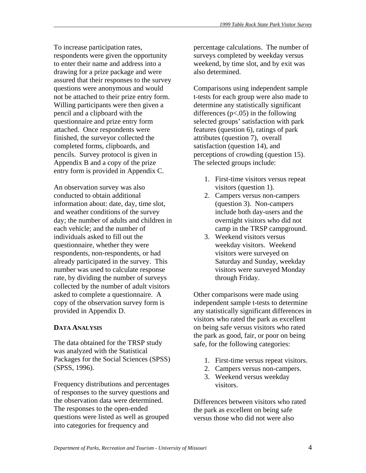To increase participation rates, respondents were given the opportunity to enter their name and address into a drawing for a prize package and were assured that their responses to the survey questions were anonymous and would not be attached to their prize entry form. Willing participants were then given a pencil and a clipboard with the questionnaire and prize entry form attached. Once respondents were finished, the surveyor collected the completed forms, clipboards, and pencils. Survey protocol is given in Appendix B and a copy of the prize entry form is provided in Appendix C.

An observation survey was also conducted to obtain additional information about: date, day, time slot, and weather conditions of the survey day; the number of adults and children in each vehicle; and the number of individuals asked to fill out the questionnaire, whether they were respondents, non-respondents, or had already participated in the survey. This number was used to calculate response rate, by dividing the number of surveys collected by the number of adult visitors asked to complete a questionnaire. A copy of the observation survey form is provided in Appendix D.

#### **DATA ANALYSIS**

The data obtained for the TRSP study was analyzed with the Statistical Packages for the Social Sciences (SPSS) (SPSS, 1996).

Frequency distributions and percentages of responses to the survey questions and the observation data were determined. The responses to the open-ended questions were listed as well as grouped into categories for frequency and

percentage calculations. The number of surveys completed by weekday versus weekend, by time slot, and by exit was also determined.

Comparisons using independent sample t-tests for each group were also made to determine any statistically significant differences  $(p<.05)$  in the following selected groups' satisfaction with park features (question 6), ratings of park attributes (question 7), overall satisfaction (question 14), and perceptions of crowding (question 15). The selected groups include:

- 1. First-time visitors versus repeat visitors (question 1).
- 2. Campers versus non-campers (question 3). Non-campers include both day-users and the overnight visitors who did not camp in the TRSP campground.
- 3. Weekend visitors versus weekday visitors. Weekend visitors were surveyed on Saturday and Sunday, weekday visitors were surveyed Monday through Friday.

Other comparisons were made using independent sample t-tests to determine any statistically significant differences in visitors who rated the park as excellent on being safe versus visitors who rated the park as good, fair, or poor on being safe, for the following categories:

- 1. First-time versus repeat visitors.
- 2. Campers versus non-campers.
- 3. Weekend versus weekday visitors.

Differences between visitors who rated the park as excellent on being safe versus those who did not were also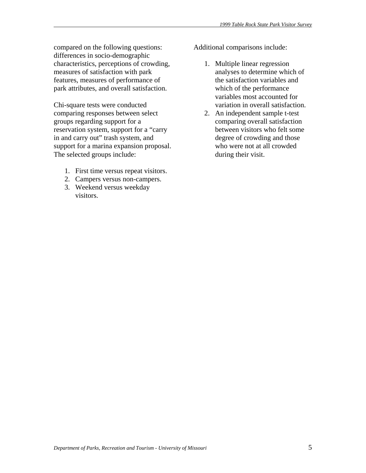compared on the following questions: differences in socio-demographic characteristics, perceptions of crowding, measures of satisfaction with park features, measures of performance of park attributes, and overall satisfaction.

Chi-square tests were conducted comparing responses between select groups regarding support for a reservation system, support for a "carry in and carry out" trash system, and support for a marina expansion proposal. The selected groups include:

- 1. First time versus repeat visitors.
- 2. Campers versus non-campers.
- 3. Weekend versus weekday visitors.

Additional comparisons include:

- 1. Multiple linear regression analyses to determine which of the satisfaction variables and which of the performance variables most accounted for variation in overall satisfaction.
- 2. An independent sample t-test comparing overall satisfaction between visitors who felt some degree of crowding and those who were not at all crowded during their visit.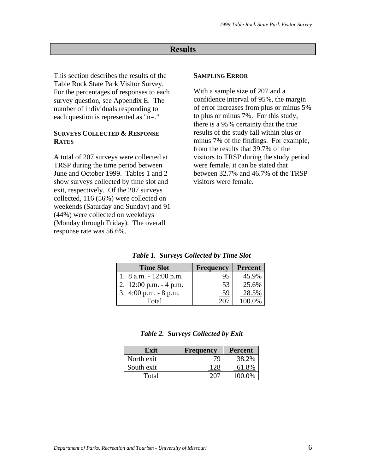# **Results**

This section describes the results of the Table Rock State Park Visitor Survey. For the percentages of responses to each survey question, see Appendix E. The number of individuals responding to each question is represented as "n=."

#### **SURVEYS COLLECTED & RESPONSE RATES**

A total of 207 surveys were collected at TRSP during the time period between June and October 1999. Tables 1 and 2 show surveys collected by time slot and exit, respectively. Of the 207 surveys collected, 116 (56%) were collected on weekends (Saturday and Sunday) and 91 (44%) were collected on weekdays (Monday through Friday). The overall response rate was 56.6%.

#### **SAMPLING ERROR**

With a sample size of 207 and a confidence interval of 95%, the margin of error increases from plus or minus 5% to plus or minus 7%. For this study, there is a 95% certainty that the true results of the study fall within plus or minus 7% of the findings. For example, from the results that 39.7% of the visitors to TRSP during the study period were female, it can be stated that between 32.7% and 46.7% of the TRSP visitors were female.

| <b>Time Slot</b>          | <b>Frequency</b> | <b>Percent</b> |
|---------------------------|------------------|----------------|
| 1. $8$ a.m. $-12:00$ p.m. | 95               | 45.9%          |
| 2. $12:00$ p.m. $-4$ p.m. | 53               | 25.6%          |
| 3. $4:00$ p.m. $-8$ p.m.  | 59               | 28.5%          |
| Total                     | -207             | 100.0%         |

*Table 1. Surveys Collected by Time Slot* 

| Table 2. Surveys Collected by Exit |  |  |
|------------------------------------|--|--|
|------------------------------------|--|--|

| Exit       | <b>Frequency</b> | <b>Percent</b> |
|------------|------------------|----------------|
| North exit | 79               | 38.2%          |
| South exit | 28               | 61.8%          |
| Total      |                  | 100.0%         |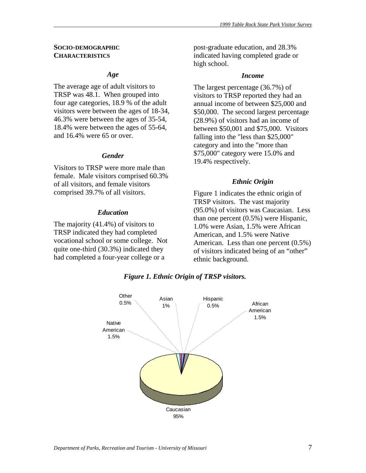#### **SOCIO-DEMOGRAPHIC CHARACTERISTICS**

#### *Age*

The average age of adult visitors to TRSP was 48.1. When grouped into four age categories, 18.9 % of the adult visitors were between the ages of 18-34, 46.3% were between the ages of 35-54, 18.4% were between the ages of 55-64, and 16.4% were 65 or over.

### *Gender*

Visitors to TRSP were more male than female. Male visitors comprised 60.3% of all visitors, and female visitors comprised 39.7% of all visitors.

#### *Education*

The majority (41.4%) of visitors to TRSP indicated they had completed vocational school or some college. Not quite one-third (30.3%) indicated they had completed a four-year college or a

post-graduate education, and 28.3% indicated having completed grade or high school.

#### *Income*

The largest percentage (36.7%) of visitors to TRSP reported they had an annual income of between \$25,000 and \$50,000. The second largest percentage (28.9%) of visitors had an income of between \$50,001 and \$75,000. Visitors falling into the "less than \$25,000" category and into the "more than \$75,000" category were 15.0% and 19.4% respectively.

#### *Ethnic Origin*

Figure 1 indicates the ethnic origin of TRSP visitors. The vast majority (95.0%) of visitors was Caucasian. Less than one percent (0.5%) were Hispanic, 1.0% were Asian, 1.5% were African American, and 1.5% were Native American. Less than one percent (0.5%) of visitors indicated being of an "other" ethnic background.



*Figure 1. Ethnic Origin of TRSP visitors.*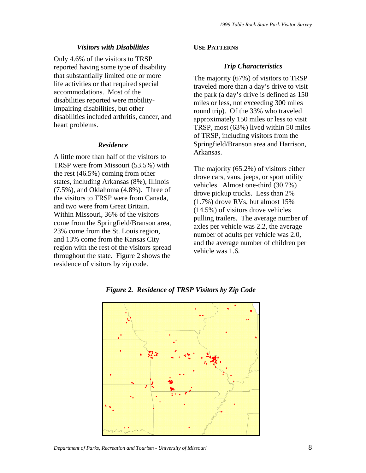#### *Visitors with Disabilities*

Only 4.6% of the visitors to TRSP reported having some type of disability that substantially limited one or more life activities or that required special accommodations. Most of the disabilities reported were mobilityimpairing disabilities, but other disabilities included arthritis, cancer, and heart problems.

#### *Residence*

A little more than half of the visitors to TRSP were from Missouri (53.5%) with the rest (46.5%) coming from other states, including Arkansas (8%), Illinois (7.5%), and Oklahoma (4.8%). Three of the visitors to TRSP were from Canada, and two were from Great Britain. Within Missouri, 36% of the visitors come from the Springfield/Branson area, 23% come from the St. Louis region, and 13% come from the Kansas City region with the rest of the visitors spread throughout the state. Figure 2 shows the residence of visitors by zip code.

### **USE PATTERNS**

#### *Trip Characteristics*

The majority (67%) of visitors to TRSP traveled more than a day's drive to visit the park (a day's drive is defined as 150 miles or less, not exceeding 300 miles round trip). Of the 33% who traveled approximately 150 miles or less to visit TRSP, most (63%) lived within 50 miles of TRSP, including visitors from the Springfield/Branson area and Harrison, Arkansas.

The majority (65.2%) of visitors either drove cars, vans, jeeps, or sport utility vehicles. Almost one-third (30.7%) drove pickup trucks. Less than 2% (1.7%) drove RVs, but almost 15% (14.5%) of visitors drove vehicles pulling trailers. The average number of axles per vehicle was 2.2, the average number of adults per vehicle was 2.0, and the average number of children per vehicle was 1.6.



*Figure 2. Residence of TRSP Visitors by Zip Code* 

*Department of Parks, Recreation and Tourism - University of Missouri* 68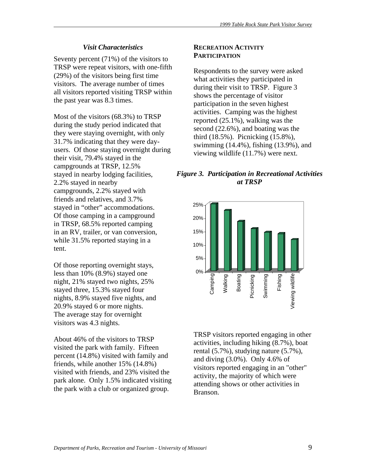#### *Visit Characteristics*

Seventy percent (71%) of the visitors to TRSP were repeat visitors, with one-fifth (29%) of the visitors being first time visitors. The average number of times all visitors reported visiting TRSP within the past year was 8.3 times.

Most of the visitors (68.3%) to TRSP during the study period indicated that they were staying overnight, with only 31.7% indicating that they were dayusers. Of those staying overnight during their visit, 79.4% stayed in the campgrounds at TRSP, 12.5% stayed in nearby lodging facilities, 2.2% stayed in nearby campgrounds, 2.2% stayed with friends and relatives, and 3.7% stayed in "other" accommodations. Of those camping in a campground in TRSP, 68.5% reported camping in an RV, trailer, or van conversion, while 31.5% reported staying in a tent.

Of those reporting overnight stays, less than 10% (8.9%) stayed one night, 21% stayed two nights, 25% stayed three, 15.3% stayed four nights, 8.9% stayed five nights, and 20.9% stayed 6 or more nights. The average stay for overnight visitors was 4.3 nights.

About 46% of the visitors to TRSP visited the park with family. Fifteen percent (14.8%) visited with family and friends, while another 15% (14.8%) visited with friends, and 23% visited the park alone. Only 1.5% indicated visiting the park with a club or organized group.

#### **RECREATION ACTIVITY PARTICIPATION**

Respondents to the survey were asked what activities they participated in during their visit to TRSP. Figure 3 shows the percentage of visitor participation in the seven highest activities. Camping was the highest reported (25.1%), walking was the second (22.6%), and boating was the third (18.5%). Picnicking (15.8%), swimming (14.4%), fishing (13.9%), and viewing wildlife (11.7%) were next.

# *Figure 3. Participation in Recreational Activities at TRSP*



TRSP visitors reported engaging in other activities, including hiking (8.7%), boat rental (5.7%), studying nature (5.7%), and diving (3.0%). Only 4.6% of visitors reported engaging in an "other" activity, the majority of which were attending shows or other activities in Branson.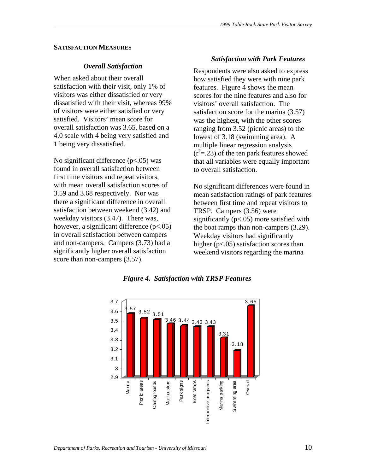#### **SATISFACTION MEASURES**

#### *Overall Satisfaction*

When asked about their overall satisfaction with their visit, only 1% of visitors was either dissatisfied or very dissatisfied with their visit, whereas 99% of visitors were either satisfied or very satisfied. Visitors' mean score for overall satisfaction was 3.65, based on a 4.0 scale with 4 being very satisfied and 1 being very dissatisfied.

No significant difference (p<.05) was found in overall satisfaction between first time visitors and repeat visitors, with mean overall satisfaction scores of 3.59 and 3.68 respectively. Nor was there a significant difference in overall satisfaction between weekend (3.42) and weekday visitors (3.47). There was, however, a significant difference (p<.05) in overall satisfaction between campers and non-campers. Campers (3.73) had a significantly higher overall satisfaction score than non-campers  $(3.57)$ .

#### *Satisfaction with Park Features*

Respondents were also asked to express how satisfied they were with nine park features. Figure 4 shows the mean scores for the nine features and also for visitors' overall satisfaction. The satisfaction score for the marina (3.57) was the highest, with the other scores ranging from 3.52 (picnic areas) to the lowest of 3.18 (swimming area). A multiple linear regression analysis  $(r<sup>2</sup>=.23)$  of the ten park features showed that all variables were equally important to overall satisfaction.

No significant differences were found in mean satisfaction ratings of park features between first time and repeat visitors to TRSP. Campers (3.56) were significantly  $(p<.05)$  more satisfied with the boat ramps than non-campers (3.29). Weekday visitors had significantly higher (p<.05) satisfaction scores than weekend visitors regarding the marina



*Figure 4. Satisfaction with TRSP Features*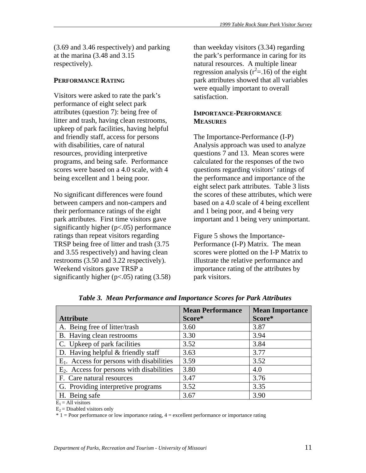(3.69 and 3.46 respectively) and parking at the marina (3.48 and 3.15 respectively).

#### **PERFORMANCE RATING**

Visitors were asked to rate the park's performance of eight select park attributes (question 7): being free of litter and trash, having clean restrooms, upkeep of park facilities, having helpful and friendly staff, access for persons with disabilities, care of natural resources, providing interpretive programs, and being safe. Performance scores were based on a 4.0 scale, with 4 being excellent and 1 being poor.

No significant differences were found between campers and non-campers and their performance ratings of the eight park attributes. First time visitors gave significantly higher (p<.05) performance ratings than repeat visitors regarding TRSP being free of litter and trash (3.75 and 3.55 respectively) and having clean restrooms (3.50 and 3.22 respectively). Weekend visitors gave TRSP a significantly higher  $(p<.05)$  rating  $(3.58)$ 

than weekday visitors (3.34) regarding the park's performance in caring for its natural resources. A multiple linear regression analysis  $(r^2 = .16)$  of the eight park attributes showed that all variables were equally important to overall satisfaction.

### **IMPORTANCE-PERFORMANCE MEASURES**

The Importance-Performance (I-P) Analysis approach was used to analyze questions 7 and 13. Mean scores were calculated for the responses of the two questions regarding visitors' ratings of the performance and importance of the eight select park attributes. Table 3 lists the scores of these attributes, which were based on a 4.0 scale of 4 being excellent and 1 being poor, and 4 being very important and 1 being very unimportant.

Figure 5 shows the Importance-Performance (I-P) Matrix. The mean scores were plotted on the I-P Matrix to illustrate the relative performance and importance rating of the attributes by park visitors.

|                                              | <b>Mean Performance</b> | <b>Mean Importance</b> |
|----------------------------------------------|-------------------------|------------------------|
| <b>Attribute</b>                             | Score*                  | Score*                 |
| A. Being free of litter/trash                | 3.60                    | 3.87                   |
| B. Having clean restrooms                    | 3.30                    | 3.94                   |
| C. Upkeep of park facilities                 | 3.52                    | 3.84                   |
| D. Having helpful $&$ friendly staff         | 3.63                    | 3.77                   |
| $E_1$ . Access for persons with disabilities | 3.59                    | 3.52                   |
| $E_2$ . Access for persons with disabilities | 3.80                    | 4.0                    |
| F. Care natural resources                    | 3.47                    | 3.76                   |
| G. Providing interpretive programs           | 3.52                    | 3.35                   |
| H. Being safe<br>.                           | 3.67                    | 3.90                   |

*Table 3. Mean Performance and Importance Scores for Park Attributes* 

 $E_1$  = All visitors

 $E_2$  = Disabled visitors only

\* 1 = Poor performance or low importance rating, 4 = excellent performance or importance rating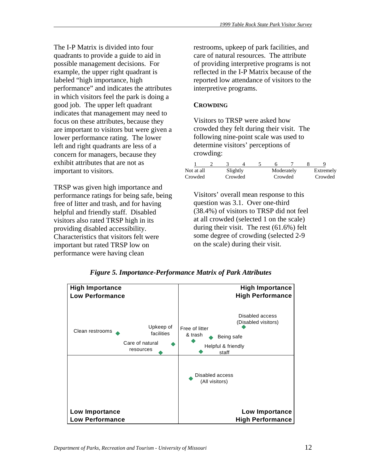The I-P Matrix is divided into four quadrants to provide a guide to aid in possible management decisions. For example, the upper right quadrant is labeled "high importance, high performance" and indicates the attributes in which visitors feel the park is doing a good job. The upper left quadrant indicates that management may need to focus on these attributes, because they are important to visitors but were given a lower performance rating. The lower left and right quadrants are less of a concern for managers, because they exhibit attributes that are not as important to visitors.

TRSP was given high importance and performance ratings for being safe, being free of litter and trash, and for having helpful and friendly staff. Disabled visitors also rated TRSP high in its providing disabled accessibility. Characteristics that visitors felt were important but rated TRSP low on performance were having clean

restrooms, upkeep of park facilities, and care of natural resources. The attribute of providing interpretive programs is not reflected in the I-P Matrix because of the reported low attendance of visitors to the interpretive programs.

# **CROWDING**

Visitors to TRSP were asked how crowded they felt during their visit. The following nine-point scale was used to determine visitors' perceptions of crowding:

| Not at all | Slightly |  |         | Moderately | Extremely |
|------------|----------|--|---------|------------|-----------|
| Crowded    | Crowded  |  | Crowded |            | Crowded   |

Visitors' overall mean response to this question was 3.1. Over one-third (38.4%) of visitors to TRSP did not feel at all crowded (selected 1 on the scale) during their visit. The rest (61.6%) felt some degree of crowding (selected 2-9 on the scale) during their visit.



*Figure 5. Importance-Performance Matrix of Park Attributes*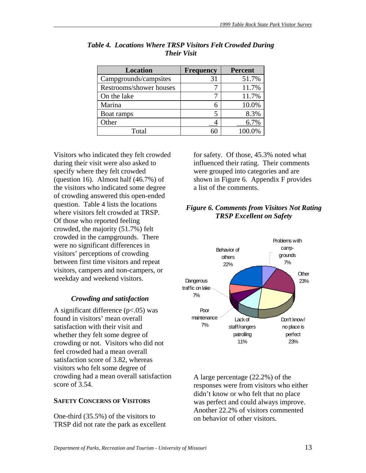| Location                | <b>Frequency</b> | <b>Percent</b> |
|-------------------------|------------------|----------------|
| Campgrounds/campsites   | 31               | 51.7%          |
| Restrooms/shower houses |                  | 11.7%          |
| On the lake             |                  | 11.7%          |
| Marina                  |                  | 10.0%          |
| Boat ramps              |                  | 8.3%           |
| Other                   |                  | 6.7%           |
| Total                   |                  | 100.0%         |

*Table 4. Locations Where TRSP Visitors Felt Crowded During Their Visit* 

Visitors who indicated they felt crowded during their visit were also asked to specify where they felt crowded (question 16). Almost half (46.7%) of the visitors who indicated some degree of crowding answered this open-ended question. Table 4 lists the locations where visitors felt crowded at TRSP. Of those who reported feeling crowded, the majority (51.7%) felt crowded in the campgrounds. There were no significant differences in visitors' perceptions of crowding between first time visitors and repeat visitors, campers and non-campers, or weekday and weekend visitors.

# *Crowding and satisfaction*

A significant difference  $(p<.05)$  was found in visitors' mean overall satisfaction with their visit and whether they felt some degree of crowding or not. Visitors who did not feel crowded had a mean overall satisfaction score of 3.82, whereas visitors who felt some degree of crowding had a mean overall satisfaction score of 3.54.

# **SAFETY CONCERNS OF VISITORS**

One-third (35.5%) of the visitors to TRSP did not rate the park as excellent for safety. Of those, 45.3% noted what influenced their rating. Their comments were grouped into categories and are shown in Figure 6. Appendix F provides a list of the comments.

# *Figure 6. Comments from Visitors Not Rating TRSP Excellent on Safety*



A large percentage (22.2%) of the responses were from visitors who either didn't know or who felt that no place was perfect and could always improve. Another 22.2% of visitors commented on behavior of other visitors.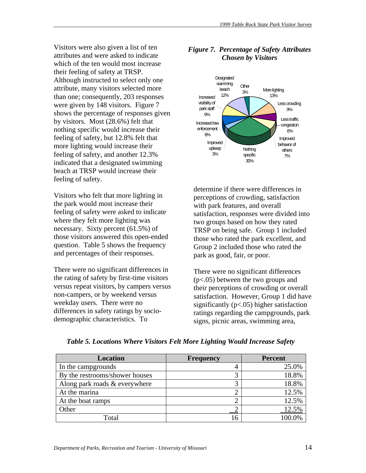Visitors were also given a list of ten attributes and were asked to indicate which of the ten would most increase their feeling of safety at TRSP. Although instructed to select only one attribute, many visitors selected more than one; consequently, 203 responses were given by 148 visitors. Figure 7 shows the percentage of responses given by visitors. Most (28.6%) felt that nothing specific would increase their feeling of safety, but 12.8% felt that more lighting would increase their feeling of safety, and another 12.3% indicated that a designated swimming beach at TRSP would increase their feeling of safety.

Visitors who felt that more lighting in the park would most increase their feeling of safety were asked to indicate where they felt more lighting was necessary. Sixty percent (61.5%) of those visitors answered this open-ended question. Table 5 shows the frequency and percentages of their responses.

There were no significant differences in the rating of safety by first-time visitors versus repeat visitors, by campers versus non-campers, or by weekend versus weekday users. There were no differences in safety ratings by sociodemographic characteristics. To



# *Figure 7. Percentage of Safety Attributes Chosen by Visitors*

determine if there were differences in perceptions of crowding, satisfaction with park features, and overall satisfaction, responses were divided into two groups based on how they rated TRSP on being safe. Group 1 included those who rated the park excellent, and Group 2 included those who rated the park as good, fair, or poor.

There were no significant differences (p<.05) between the two groups and their perceptions of crowding or overall satisfaction. However, Group 1 did have significantly ( $p$ <.05) higher satisfaction ratings regarding the campgrounds, park signs, picnic areas, swimming area,

| <b>Location</b>                | <b>Frequency</b> | <b>Percent</b> |
|--------------------------------|------------------|----------------|
| In the campgrounds             | 4                | 25.0%          |
| By the restrooms/shower houses |                  | 18.8%          |
| Along park roads & everywhere  |                  | 18.8%          |
| At the marina                  |                  | 12.5%          |
| At the boat ramps              |                  | 12.5%          |
| Other                          |                  | 12.5%          |
| Total                          |                  |                |

*Table 5. Locations Where Visitors Felt More Lighting Would Increase Safety*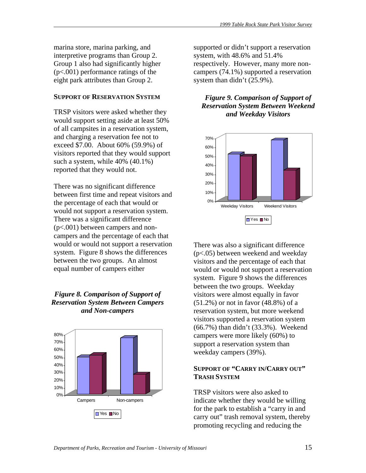marina store, marina parking, and interpretive programs than Group 2. Group 1 also had significantly higher (p<.001) performance ratings of the eight park attributes than Group 2.

#### **SUPPORT OF RESERVATION SYSTEM**

TRSP visitors were asked whether they would support setting aside at least 50% of all campsites in a reservation system, and charging a reservation fee not to exceed \$7.00. About 60% (59.9%) of visitors reported that they would support such a system, while 40% (40.1%) reported that they would not.

There was no significant difference between first time and repeat visitors and the percentage of each that would or would not support a reservation system. There was a significant difference (p<.001) between campers and noncampers and the percentage of each that would or would not support a reservation system. Figure 8 shows the differences between the two groups. An almost equal number of campers either

# *Figure 8. Comparison of Support of Reservation System Between Campers and Non-campers*



supported or didn't support a reservation system, with 48.6% and 51.4% respectively. However, many more noncampers (74.1%) supported a reservation system than didn't (25.9%).

### *Figure 9. Comparison of Support of Reservation System Between Weekend and Weekday Visitors*



There was also a significant difference (p<.05) between weekend and weekday visitors and the percentage of each that would or would not support a reservation system. Figure 9 shows the differences between the two groups. Weekday visitors were almost equally in favor (51.2%) or not in favor (48.8%) of a reservation system, but more weekend visitors supported a reservation system (66.7%) than didn't (33.3%). Weekend campers were more likely (60%) to support a reservation system than weekday campers (39%).

# **SUPPORT OF "CARRY IN/CARRY OUT" TRASH SYSTEM**

TRSP visitors were also asked to indicate whether they would be willing for the park to establish a "carry in and carry out" trash removal system, thereby promoting recycling and reducing the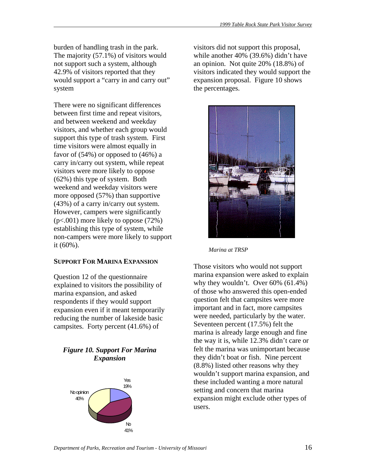burden of handling trash in the park. The majority (57.1%) of visitors would not support such a system, although 42.9% of visitors reported that they would support a "carry in and carry out" system

There were no significant differences between first time and repeat visitors, and between weekend and weekday visitors, and whether each group would support this type of trash system. First time visitors were almost equally in favor of (54%) or opposed to (46%) a carry in/carry out system, while repeat visitors were more likely to oppose (62%) this type of system. Both weekend and weekday visitors were more opposed (57%) than supportive (43%) of a carry in/carry out system. However, campers were significantly (p<.001) more likely to oppose (72%) establishing this type of system, while non-campers were more likely to support it (60%).

#### **SUPPORT FOR MARINA EXPANSION**

Question 12 of the questionnaire explained to visitors the possibility of marina expansion, and asked respondents if they would support expansion even if it meant temporarily reducing the number of lakeside basic campsites. Forty percent (41.6%) of

#### *Figure 10. Support For Marina Expansion*



visitors did not support this proposal, while another 40% (39.6%) didn't have an opinion. Not quite 20% (18.8%) of visitors indicated they would support the expansion proposal. Figure 10 shows the percentages.



*Marina at TRSP* 

Those visitors who would not support marina expansion were asked to explain why they wouldn't. Over 60% (61.4%) of those who answered this open-ended question felt that campsites were more important and in fact, more campsites were needed, particularly by the water. Seventeen percent (17.5%) felt the marina is already large enough and fine the way it is, while 12.3% didn't care or felt the marina was unimportant because they didn't boat or fish. Nine percent (8.8%) listed other reasons why they wouldn't support marina expansion, and these included wanting a more natural setting and concern that marina expansion might exclude other types of users.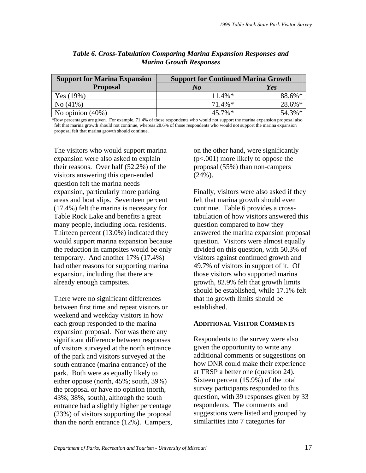| <b>Support for Marina Expansion</b> | <b>Support for Continued Marina Growth</b> |        |  |  |
|-------------------------------------|--------------------------------------------|--------|--|--|
| <b>Proposal</b>                     | No                                         | Yes    |  |  |
| Yes $(19%)$                         | $11.4\%*$                                  | 88.6%* |  |  |
| $\rm No(41\%)$                      | $71.4\%*$                                  | 28.6%* |  |  |
| No opinion $(40\%)$                 | $45.7\%*$                                  | 54.3%* |  |  |

# *Table 6. Cross-Tabulation Comparing Marina Expansion Responses and Marina Growth Responses*

\*Row percentages are given. For example, 71.4% of those respondents who would not support the marina expansion proposal also felt that marina growth should not continue, whereas 28.6% of those respondents who would not support the marina expansion proposal felt that marina growth should continue.

The visitors who would support marina expansion were also asked to explain their reasons. Over half (52.2%) of the visitors answering this open-ended question felt the marina needs expansion, particularly more parking areas and boat slips. Seventeen percent (17.4%) felt the marina is necessary for Table Rock Lake and benefits a great many people, including local residents. Thirteen percent (13.0%) indicated they would support marina expansion because the reduction in campsites would be only temporary. And another 17% (17.4%) had other reasons for supporting marina expansion, including that there are already enough campsites.

There were no significant differences between first time and repeat visitors or weekend and weekday visitors in how each group responded to the marina expansion proposal. Nor was there any significant difference between responses of visitors surveyed at the north entrance of the park and visitors surveyed at the south entrance (marina entrance) of the park. Both were as equally likely to either oppose (north, 45%; south, 39%) the proposal or have no opinion (north, 43%; 38%, south), although the south entrance had a slightly higher percentage (23%) of visitors supporting the proposal than the north entrance (12%). Campers, on the other hand, were significantly (p<.001) more likely to oppose the proposal (55%) than non-campers (24%).

Finally, visitors were also asked if they felt that marina growth should even continue. Table 6 provides a crosstabulation of how visitors answered this question compared to how they answered the marina expansion proposal question. Visitors were almost equally divided on this question, with 50.3% of visitors against continued growth and 49.7% of visitors in support of it. Of those visitors who supported marina growth, 82.9% felt that growth limits should be established, while 17.1% felt that no growth limits should be established.

#### **ADDITIONAL VISITOR COMMENTS**

Respondents to the survey were also given the opportunity to write any additional comments or suggestions on how DNR could make their experience at TRSP a better one (question 24). Sixteen percent (15.9%) of the total survey participants responded to this question, with 39 responses given by 33 respondents. The comments and suggestions were listed and grouped by similarities into 7 categories for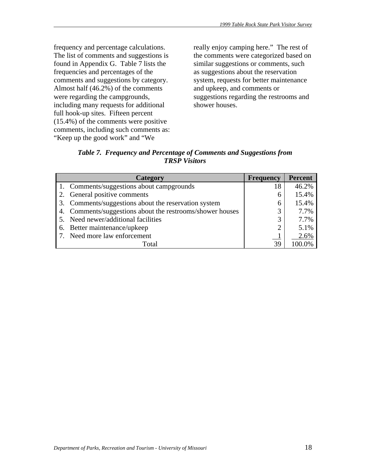frequency and percentage calculations. The list of comments and suggestions is found in Appendix G. Table 7 lists the frequencies and percentages of the comments and suggestions by category. Almost half (46.2%) of the comments were regarding the campgrounds, including many requests for additional full hook-up sites. Fifteen percent (15.4%) of the comments were positive comments, including such comments as: "Keep up the good work" and "We

really enjoy camping here." The rest of the comments were categorized based on similar suggestions or comments, such as suggestions about the reservation system, requests for better maintenance and upkeep, and comments or suggestions regarding the restrooms and shower houses.

*Table 7. Frequency and Percentage of Comments and Suggestions from TRSP Visitors* 

| Category                                                  | <b>Frequency</b> | <b>Percent</b> |
|-----------------------------------------------------------|------------------|----------------|
| 1. Comments/suggestions about campgrounds                 | 18               | 46.2%          |
| 2. General positive comments                              | 6                | 15.4%          |
| 3. Comments/suggestions about the reservation system      | 6                | 15.4%          |
| 4. Comments/suggestions about the restrooms/shower houses | 3                | 7.7%           |
| 5. Need newer/additional facilities                       | 3                | 7.7%           |
| 6. Better maintenance/upkeep                              | $\overline{2}$   | 5.1%           |
| 7. Need more law enforcement                              |                  | 2.6%           |
| Total                                                     | 39               |                |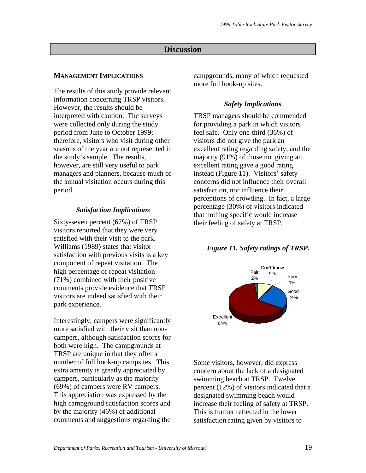# **Discussion**

# **MANAGEMENT IMPLICATIONS**

The results of this study provide relevant information concerning TRSP visitors. However, the results should be interpreted with caution. The surveys were collected only during the study period from June to October 1999; therefore, visitors who visit during other seasons of the year are not represented in the study's sample. The results, however, are still very useful to park managers and planners, because much of the annual visitation occurs during this period.

# *Satisfaction Implications*

Sixty-seven percent (67%) of TRSP visitors reported that they were very satisfied with their visit to the park. Williams (1989) states that visitor satisfaction with previous visits is a key component of repeat visitation. The high percentage of repeat visitation (71%) combined with their positive comments provide evidence that TRSP visitors are indeed satisfied with their park experience.

Interestingly, campers were significantly more satisfied with their visit than noncampers, although satisfaction scores for both were high. The campgrounds at TRSP are unique in that they offer a number of full hook-up campsites. This extra amenity is greatly appreciated by campers, particularly as the majority (69%) of campers were RV campers. This appreciation was expressed by the high campground satisfaction scores and by the majority (46%) of additional comments and suggestions regarding the

campgrounds, many of which requested more full hook-up sites.

# *Safety Implications*

TRSP managers should be commended for providing a park in which visitors feel safe. Only one-third (36%) of visitors did not give the park an excellent rating regarding safety, and the majority (91%) of those not giving an excellent rating gave a good rating instead (Figure 11). Visitors' safety concerns did not influence their overall satisfaction, nor influence their perceptions of crowding. In fact, a large percentage (30%) of visitors indicated that nothing specific would increase their feeling of safety at TRSP.

# *Figure 11. Safety ratings of TRSP.*



Some visitors, however, did express concern about the lack of a designated swimming beach at TRSP. Twelve percent (12%) of visitors indicated that a designated swimming beach would increase their feeling of safety at TRSP. This is further reflected in the lower satisfaction rating given by visitors to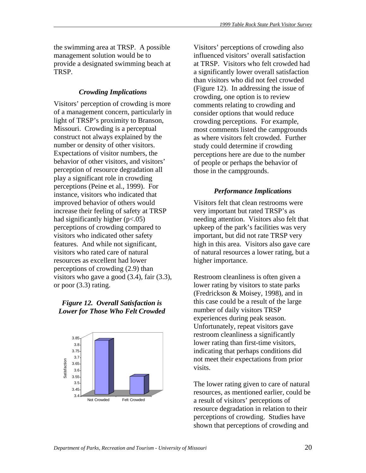the swimming area at TRSP. A possible management solution would be to provide a designated swimming beach at TRSP.

# *Crowding Implications*

Visitors' perception of crowding is more of a management concern, particularly in light of TRSP's proximity to Branson, Missouri. Crowding is a perceptual construct not always explained by the number or density of other visitors. Expectations of visitor numbers, the behavior of other visitors, and visitors' perception of resource degradation all play a significant role in crowding perceptions (Peine et al., 1999). For instance, visitors who indicated that improved behavior of others would increase their feeling of safety at TRSP had significantly higher (p<.05) perceptions of crowding compared to visitors who indicated other safety features. And while not significant, visitors who rated care of natural resources as excellent had lower perceptions of crowding (2.9) than visitors who gave a good (3.4), fair (3.3), or poor (3.3) rating.

#### *Figure 12. Overall Satisfaction is Lower for Those Who Felt Crowded*



Visitors' perceptions of crowding also influenced visitors' overall satisfaction at TRSP. Visitors who felt crowded had a significantly lower overall satisfaction than visitors who did not feel crowded (Figure 12). In addressing the issue of crowding, one option is to review comments relating to crowding and consider options that would reduce crowding perceptions. For example, most comments listed the campgrounds as where visitors felt crowded. Further study could determine if crowding perceptions here are due to the number of people or perhaps the behavior of those in the campgrounds.

# *Performance Implications*

Visitors felt that clean restrooms were very important but rated TRSP's as needing attention. Visitors also felt that upkeep of the park's facilities was very important, but did not rate TRSP very high in this area. Visitors also gave care of natural resources a lower rating, but a higher importance.

Restroom cleanliness is often given a lower rating by visitors to state parks (Fredrickson & Moisey, 1998), and in this case could be a result of the large number of daily visitors TRSP experiences during peak season. Unfortunately, repeat visitors gave restroom cleanliness a significantly lower rating than first-time visitors, indicating that perhaps conditions did not meet their expectations from prior visits.

The lower rating given to care of natural resources, as mentioned earlier, could be a result of visitors' perceptions of resource degradation in relation to their perceptions of crowding. Studies have shown that perceptions of crowding and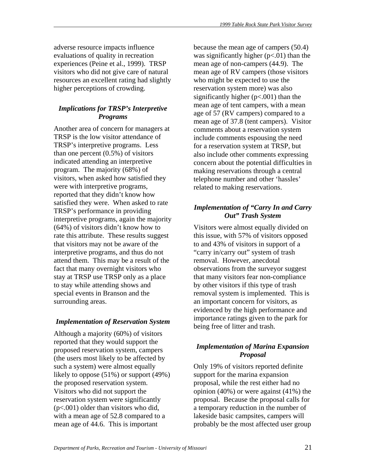adverse resource impacts influence evaluations of quality in recreation experiences (Peine et al., 1999). TRSP visitors who did not give care of natural resources an excellent rating had slightly higher perceptions of crowding.

# *Implications for TRSP's Interpretive Programs*

Another area of concern for managers at TRSP is the low visitor attendance of TRSP's interpretive programs. Less than one percent (0.5%) of visitors indicated attending an interpretive program. The majority (68%) of visitors, when asked how satisfied they were with interpretive programs, reported that they didn't know how satisfied they were. When asked to rate TRSP's performance in providing interpretive programs, again the majority (64%) of visitors didn't know how to rate this attribute. These results suggest that visitors may not be aware of the interpretive programs, and thus do not attend them. This may be a result of the fact that many overnight visitors who stay at TRSP use TRSP only as a place to stay while attending shows and special events in Branson and the surrounding areas.

# *Implementation of Reservation System*

Although a majority (60%) of visitors reported that they would support the proposed reservation system, campers (the users most likely to be affected by such a system) were almost equally likely to oppose (51%) or support (49%) the proposed reservation system. Visitors who did not support the reservation system were significantly (p<.001) older than visitors who did, with a mean age of 52.8 compared to a mean age of 44.6. This is important

because the mean age of campers (50.4) was significantly higher  $(p<.01)$  than the mean age of non-campers (44.9). The mean age of RV campers (those visitors who might be expected to use the reservation system more) was also significantly higher  $(p<.001)$  than the mean age of tent campers, with a mean age of 57 (RV campers) compared to a mean age of 37.8 (tent campers). Visitor comments about a reservation system include comments espousing the need for a reservation system at TRSP, but also include other comments expressing concern about the potential difficulties in making reservations through a central telephone number and other 'hassles' related to making reservations.

# *Implementation of "Carry In and Carry Out" Trash System*

Visitors were almost equally divided on this issue, with 57% of visitors opposed to and 43% of visitors in support of a "carry in/carry out" system of trash removal. However, anecdotal observations from the surveyor suggest that many visitors fear non-compliance by other visitors if this type of trash removal system is implemented. This is an important concern for visitors, as evidenced by the high performance and importance ratings given to the park for being free of litter and trash.

# *Implementation of Marina Expansion Proposal*

Only 19% of visitors reported definite support for the marina expansion proposal, while the rest either had no opinion (40%) or were against (41%) the proposal. Because the proposal calls for a temporary reduction in the number of lakeside basic campsites, campers will probably be the most affected user group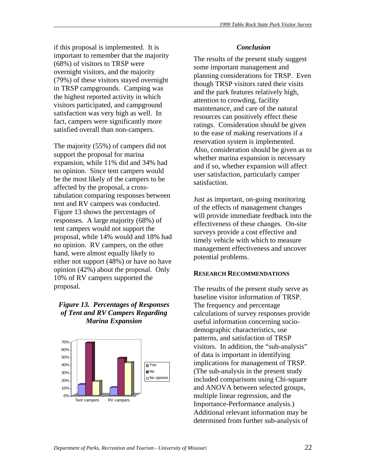if this proposal is implemented. It is important to remember that the majority (68%) of visitors to TRSP were overnight visitors, and the majority (79%) of these visitors stayed overnight in TRSP campgrounds. Camping was the highest reported activity in which visitors participated, and campground satisfaction was very high as well. In fact, campers were significantly more satisfied overall than non-campers.

The majority (55%) of campers did not support the proposal for marina expansion, while 11% did and 34% had no opinion. Since tent campers would be the most likely of the campers to be affected by the proposal, a crosstabulation comparing responses between tent and RV campers was conducted. Figure 13 shows the percentages of responses. A large majority (68%) of tent campers would not support the proposal, while 14% would and 18% had no opinion. RV campers, on the other hand, were almost equally likely to either not support (48%) or have no have opinion (42%) about the proposal. Only 10% of RV campers supported the proposal.

# *Figure 13. Percentages of Responses of Tent and RV Campers Regarding Marina Expansion*



#### *Conclusion*

The results of the present study suggest some important management and planning considerations for TRSP. Even though TRSP visitors rated their visits and the park features relatively high, attention to crowding, facility maintenance, and care of the natural resources can positively effect these ratings. Consideration should be given to the ease of making reservations if a reservation system is implemented. Also, consideration should be given as to whether marina expansion is necessary and if so, whether expansion will affect user satisfaction, particularly camper satisfaction.

Just as important, on-going monitoring of the effects of management changes will provide immediate feedback into the effectiveness of these changes. On-site surveys provide a cost effective and timely vehicle with which to measure management effectiveness and uncover potential problems.

### **RESEARCH RECOMMENDATIONS**

The results of the present study serve as baseline visitor information of TRSP. The frequency and percentage calculations of survey responses provide useful information concerning sociodemographic characteristics, use patterns, and satisfaction of TRSP visitors. In addition, the "sub-analysis" of data is important in identifying implications for management of TRSP. (The sub-analysis in the present study included comparisons using Chi-square and ANOVA between selected groups, multiple linear regression, and the Importance-Performance analysis.) Additional relevant information may be determined from further sub-analysis of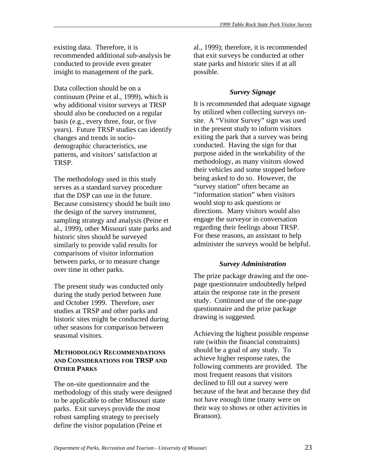existing data. Therefore, it is recommended additional sub-analysis be conducted to provide even greater insight to management of the park.

Data collection should be on a continuum (Peine et al., 1999), which is why additional visitor surveys at TRSP should also be conducted on a regular basis (e.g., every three, four, or five years). Future TRSP studies can identify changes and trends in sociodemographic characteristics, use patterns, and visitors' satisfaction at TRSP.

The methodology used in this study serves as a standard survey procedure that the DSP can use in the future. Because consistency should be built into the design of the survey instrument, sampling strategy and analysis (Peine et al., 1999), other Missouri state parks and historic sites should be surveyed similarly to provide valid results for comparisons of visitor information between parks, or to measure change over time in other parks.

The present study was conducted only during the study period between June and October 1999. Therefore, user studies at TRSP and other parks and historic sites might be conducted during other seasons for comparison between seasonal visitors.

# **METHODOLOGY RECOMMENDATIONS AND CONSIDERATIONS FOR TRSP AND OTHER PARKS**

The on-site questionnaire and the methodology of this study were designed to be applicable to other Missouri state parks. Exit surveys provide the most robust sampling strategy to precisely define the visitor population (Peine et

al., 1999); therefore, it is recommended that exit surveys be conducted at other state parks and historic sites if at all possible.

# *Survey Signage*

It is recommended that adequate signage by utilized when collecting surveys onsite. A "Visitor Survey" sign was used in the present study to inform visitors exiting the park that a survey was being conducted. Having the sign for that purpose aided in the workability of the methodology, as many visitors slowed their vehicles and some stopped before being asked to do so. However, the "survey station" often became an "information station" when visitors would stop to ask questions or directions. Many visitors would also engage the surveyor in conversation regarding their feelings about TRSP. For these reasons, an assistant to help administer the surveys would be helpful.

# *Survey Administration*

The prize package drawing and the onepage questionnaire undoubtedly helped attain the response rate in the present study. Continued use of the one-page questionnaire and the prize package drawing is suggested.

Achieving the highest possible response rate (within the financial constraints) should be a goal of any study. To achieve higher response rates, the following comments are provided. The most frequent reasons that visitors declined to fill out a survey were because of the heat and because they did not have enough time (many were on their way to shows or other activities in Branson).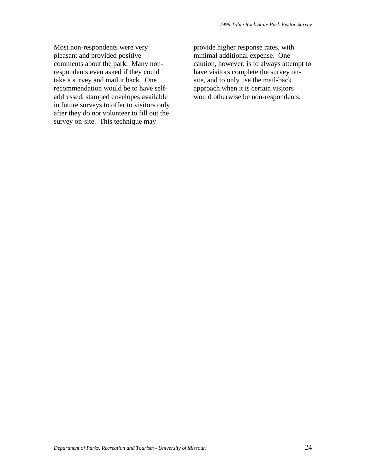Most non-respondents were very pleasant and provided positive comments about the park. Many nonrespondents even asked if they could take a survey and mail it back. One recommendation would be to have selfaddressed, stamped envelopes available in future surveys to offer to visitors only after they do not volunteer to fill out the survey on-site. This technique may

provide higher response rates, with minimal additional expense. One caution, however, is to always attempt to have visitors complete the survey onsite, and to only use the mail-back approach when it is certain visitors would otherwise be non-respondents.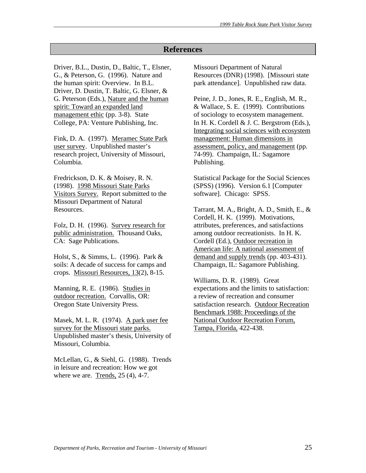# **References**

Driver, B.L., Dustin, D., Baltic, T., Elsner, G., & Peterson, G. (1996). Nature and the human spirit: Overview. In B.L. Driver, D. Dustin, T. Baltic, G. Elsner, & G. Peterson (Eds.), Nature and the human spirit: Toward an expanded land management ethic (pp. 3-8). State College, PA: Venture Publishing, Inc.

Fink, D. A. (1997). Meramec State Park user survey. Unpublished master's research project, University of Missouri, Columbia.

Fredrickson, D. K. & Moisey, R. N. (1998). 1998 Missouri State Parks Visitors Survey. Report submitted to the Missouri Department of Natural Resources.

Folz, D. H. (1996). Survey research for public administration. Thousand Oaks, CA: Sage Publications.

Holst, S., & Simms, L. (1996). Park & soils: A decade of success for camps and crops. Missouri Resources, 13(2), 8-15.

Manning, R. E. (1986). Studies in outdoor recreation. Corvallis, OR: Oregon State University Press.

Masek, M. L. R. (1974). A park user fee survey for the Missouri state parks. Unpublished master's thesis, University of Missouri, Columbia.

McLellan, G., & Siehl, G. (1988). Trends in leisure and recreation: How we got where we are. Trends, 25 (4), 4-7.

Missouri Department of Natural Resources (DNR) (1998). [Missouri state park attendance]. Unpublished raw data.

Peine, J. D., Jones, R. E., English, M. R., & Wallace, S. E. (1999). Contributions of sociology to ecosystem management. In H. K. Cordell & J. C. Bergstrom (Eds.), Integrating social sciences with ecosystem management: Human dimensions in assessment, policy, and management (pp. 74-99). Champaign, IL: Sagamore Publishing.

Statistical Package for the Social Sciences (SPSS) (1996). Version 6.1 [Computer software]. Chicago: SPSS.

Tarrant, M. A., Bright, A. D., Smith, E., & Cordell, H. K. (1999). Motivations, attributes, preferences, and satisfactions among outdoor recreationists. In H. K. Cordell (Ed.), Outdoor recreation in American life: A national assessment of demand and supply trends (pp. 403-431). Champaign, IL: Sagamore Publishing.

Williams, D. R. (1989). Great expectations and the limits to satisfaction: a review of recreation and consumer satisfaction research. Outdoor Recreation Benchmark 1988: Proceedings of the National Outdoor Recreation Forum, Tampa, Florida, 422-438.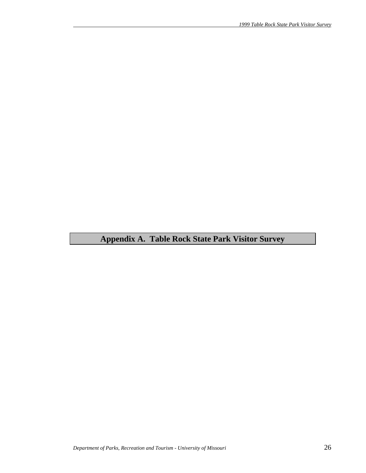# **Appendix A. Table Rock State Park Visitor Survey**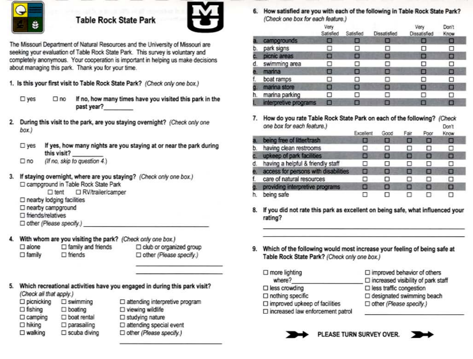

# **Table Rock State Park**



The Missouri Department of Natural Resources and the University of Missouri are seeking your evaluation of Table Rock State Park. This survey is voluntary and completely anonymous. Your cooperation is important in helping us make decisions about managing this park. Thank you for your time.

1. Is this your first visit to Table Rock State Park? (Check only one box.)

- $\square$  yes  $\square$  no If no, how many times have you visited this park in the past year?
- During this visit to the park, are you staying overnight? (Check only one 2. box.)
	- If yes, how many nights are you staying at or near the park during  $\square$  ves this visit?
	- (If no, skip to question 4.)  $\square$  no
- If staying overnight, where are you staying? (Check only one box.) 3. □ campground in Table Rock State Park
	- □ RV/trailer/camper  $\Box$  tent
	- $\Box$  nearby lodging facilities
	- □ nearby campground
	- $\square$  friends/relatives
	- $\Box$  other (Please specify.)
- With whom are you visiting the park? (Check only one box.) 4.
	- $\Box$  family and friends  $\Box$  alone  $\Box$  family  $\Box$  friends
- I club or organized group D other (Please specify.)
- Which recreational activities have you engaged in during this park visit? (Check all that apply.)
	- $\square$  picnicking  $\square$  swimming □ attending interpretive program  $\square$  viewing wildlife  $\Box$  fishing  $\Box$  boating  $\square$  studying nature  $\square$  camping  $\square$  boat rental  $\square$  hiking  $\square$  parasailing  $\square$  attending special event  $\square$  walking  $\square$  scuba diving Dother (Please specify.)

6. How satisfied are you with each of the following in Table Rock State Park? (Check one hox for each feature)

|    | with the country street that substant and state with |                   |           |              |                      |               |  |  |
|----|------------------------------------------------------|-------------------|-----------|--------------|----------------------|---------------|--|--|
|    |                                                      | Very<br>Satisfied | Satisfied | Dissatisfied | Very<br>Dissatisfied | Don't<br>Know |  |  |
| a. | campgrounds                                          | ш                 |           |              |                      | о             |  |  |
| b. | park signs                                           |                   |           |              |                      | □             |  |  |
| C. | picnic areas                                         | ■                 | О         |              | □                    | ⊡             |  |  |
| d. | swimming area                                        |                   |           |              |                      | □             |  |  |
| e. | marina                                               | Ξ                 | o         | o            | ▣                    | □             |  |  |
| f. | boat ramps                                           | п                 | п         | п            | ◻                    | □             |  |  |
| g. | marina store                                         | 8                 | п         | ш            | П                    | □             |  |  |
| h. | marina parking                                       | ы                 |           |              |                      | п             |  |  |
|    | interpretive programs                                |                   |           |              |                      | П             |  |  |

7. How do you rate Table Rock State Park on each of the following? (Check one box for each feature.) Don't

|                                      | Excellent    | GOOD | <b>Fair</b> | Poor | Know |  |
|--------------------------------------|--------------|------|-------------|------|------|--|
| being free of litter/trash           |              |      |             | □    | □    |  |
| having clean restrooms               | Ω            | ш    | ш           | ◻    | □    |  |
| upkeep of park facilities            | Е            | ш    |             | Е    | о    |  |
| having a helpful & friendly staff    | ⊔            | U    | o           | Π    | □    |  |
| access for persons with disabilities | Ω            |      | ▣           | o    | O    |  |
| care of natural resources            | O            | □    | п           | п    | Π    |  |
| providing interpretive programs      | ▣            |      | O           | O    | о    |  |
| being safe                           | $^{\circ}$ . |      |             | п    | п    |  |

- 8. If you did not rate this park as excellent on being safe, what influenced your rating?
- 9. Which of the following would most increase your feeling of being safe at Table Rock State Park? (Check only one box.)

| $\Box$ more lighting                       | $\square$ improved behavior of others     |
|--------------------------------------------|-------------------------------------------|
| where?                                     | $\Box$ increased visibility of park staff |
| $\square$ less crowding                    | $\square$ less traffic congestion         |
| $\Box$ nothing specific                    | □ designated swimming beach               |
| $\square$ improved upkeep of facilities    | □ other (Please specify.)                 |
| $\square$ increased law enforcement patrol |                                           |



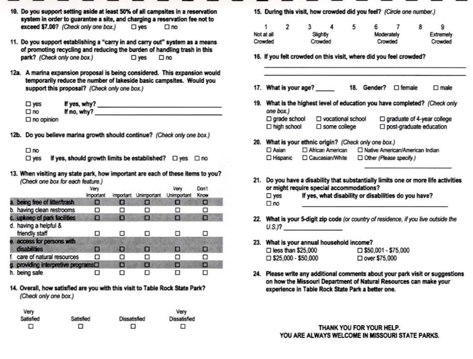- 10. Do you support setting aside at least 50% of all campsites in a reservation system in order to guarantee a site, and charging a reservation fee not to exceed \$7.00? (Check only one box.)  $\square$  yes  $\square$  no
- 11. Do you support establishing a "carry in and carry out" system as a means of promoting recycling and reducing the burden of handling trash in this park? (Check only one box.)  $\square$  yes  $\square$  no
- 12a. A marina expansion proposal is being considered. This expansion would temporarily reduce the number of lakeside basic campsites. Would you support this proposal? (Check only one box.)

| $\square$ yes        | If yes, why? |  |
|----------------------|--------------|--|
| $\square$ no         | If no, why?  |  |
| $\square$ no opinion |              |  |

12b. Do you believe marina growth should continue? (Check only one box.)

- If yes, should growth limits be established?  $\Box$  yes  $\Box$  no  $\square$  yes
- 13. When visiting any state park, how important are each of these items to you? (Check one box for each feature.)

|                                                  | Very<br><i><b>Important</b></i> | Important | Unimportant | Very<br>Unimportant | Don't<br><b>Know</b> |  |
|--------------------------------------------------|---------------------------------|-----------|-------------|---------------------|----------------------|--|
| a. being free of litter/trash                    | ▣                               | O         | о           | о                   | O                    |  |
| b. having clean restrooms                        | ◻                               | ◻         | ◻           |                     | п                    |  |
| c. upkeep of park facilities                     | о                               | O         | п           |                     | н                    |  |
| d. having a helpful &<br>friendly staff          |                                 |           | п           |                     | п                    |  |
| e. access for persons with<br>disabilities       | Е                               | е         | Е           |                     | в                    |  |
| care of natural resources                        | п                               | п         | п           | п                   | п                    |  |
| g. providing interpretive programs <sup>[]</sup> |                                 | О         | п           | E                   | п                    |  |
| h. being safe                                    |                                 |           |             |                     |                      |  |

14. Overall, how satisfied are you with this visit to Table Rock State Park? (Check only one box.)

| Very      |           |                     | Very                |
|-----------|-----------|---------------------|---------------------|
| Satisfied | Satisfied | <b>Dissatisfied</b> | <b>Dissatisfied</b> |
| ▫         | □         | □                   | □                   |

15. During this visit, how crowded did you feel? (Circle one number.)

|            |  |         |          | 5       |            |         |           |  |
|------------|--|---------|----------|---------|------------|---------|-----------|--|
| Not at all |  |         | Slightly |         | Moderately |         | Extremely |  |
| Crowded    |  | Crowded |          | Crowded |            | Crowded |           |  |

- 16. If you felt crowded on this visit, where did you feel crowded?
- 17. What is your age? 18. Gender? 
<sub>D</sub> female  $\square$  male
- 19. What is the highest level of education you have completed? (Check only one box.)  $\square$  grade school  $\square$  graduate of 4-year college □ vocational school  $\square$  high school  $\square$  some college □ post-graduate education
- 20. What is your ethnic origin? (Check only one box.)  $\square$  Asian African American □ Native American/American Indian □ Hispanic □ Caucasian/White Other (Please specify.)
- 21. Do you have a disability that substantially limits one or more life activities or might require special accommodations?

If yes, what disability or disabilities do you have?  $\square$  yes  $\square$  no

- 22. What is your 5-digit zip code (or country of residence, if you live outside the  $U.S.P.$
- 23. What is your annual household income?  $\square$  less than \$25,000 □ \$50,001 - \$75,000  $\square$  \$25,000 - \$50,000 □ over \$75,000
- 24. Please write any additional comments about your park visit or suggestions on how the Missouri Department of Natural Resources can make your experience in Table Rock State Park a better one.

THANK YOU FOR YOUR HELP. YOU ARE ALWAYS WELCOME IN MISSOURI STATE PARKS.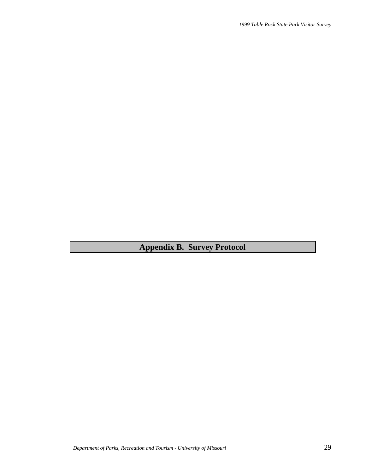**Appendix B. Survey Protocol**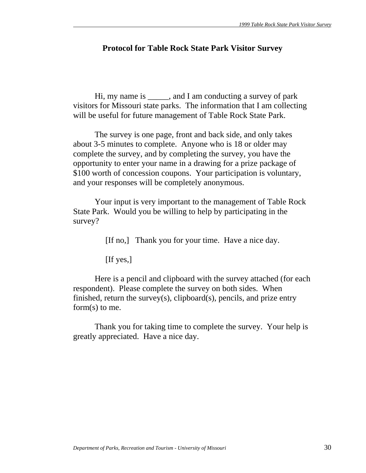# **Protocol for Table Rock State Park Visitor Survey**

 Hi, my name is \_\_\_\_\_, and I am conducting a survey of park visitors for Missouri state parks. The information that I am collecting will be useful for future management of Table Rock State Park.

 The survey is one page, front and back side, and only takes about 3-5 minutes to complete. Anyone who is 18 or older may complete the survey, and by completing the survey, you have the opportunity to enter your name in a drawing for a prize package of \$100 worth of concession coupons. Your participation is voluntary, and your responses will be completely anonymous.

 Your input is very important to the management of Table Rock State Park. Would you be willing to help by participating in the survey?

[If no,] Thank you for your time. Have a nice day.

[If yes,]

 Here is a pencil and clipboard with the survey attached (for each respondent). Please complete the survey on both sides. When finished, return the survey(s), clipboard(s), pencils, and prize entry form(s) to me.

 Thank you for taking time to complete the survey. Your help is greatly appreciated. Have a nice day.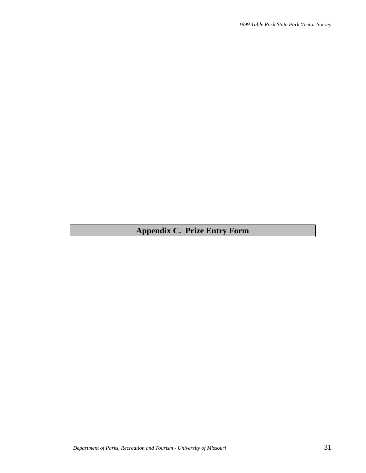# **Appendix C. Prize Entry Form**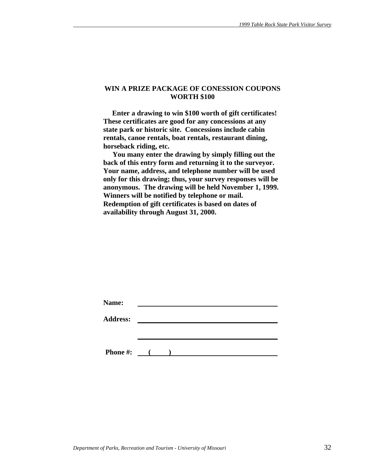#### **WIN A PRIZE PACKAGE OF CONESSION COUPONS WORTH \$100**

 **Enter a drawing to win \$100 worth of gift certificates! These certificates are good for any concessions at any state park or historic site. Concessions include cabin rentals, canoe rentals, boat rentals, restaurant dining, horseback riding, etc.** 

 **You many enter the drawing by simply filling out the back of this entry form and returning it to the surveyor. Your name, address, and telephone number will be used only for this drawing; thus, your survey responses will be anonymous. The drawing will be held November 1, 1999. Winners will be notified by telephone or mail. Redemption of gift certificates is based on dates of availability through August 31, 2000.** 

| Name:           |                   |  |  |  |
|-----------------|-------------------|--|--|--|
| <b>Address:</b> |                   |  |  |  |
|                 |                   |  |  |  |
|                 |                   |  |  |  |
| <b>Phone #:</b> | $\sim$ 100 $\sim$ |  |  |  |
|                 |                   |  |  |  |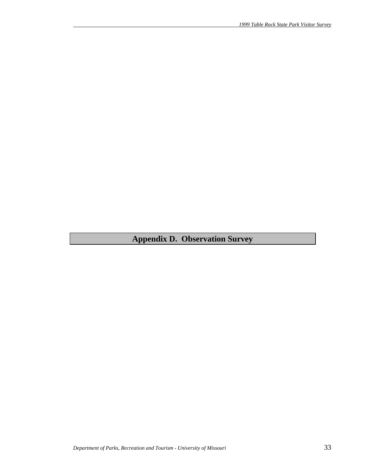# **Appendix D. Observation Survey**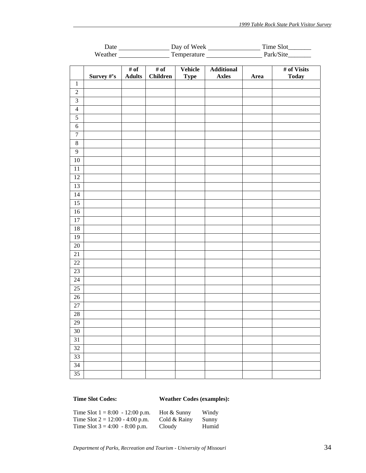|                         |            | Date                             |                 |             |                   |      |              |
|-------------------------|------------|----------------------------------|-----------------|-------------|-------------------|------|--------------|
|                         |            | Temperature Park/Site<br>Weather |                 |             |                   |      |              |
|                         |            |                                  |                 |             |                   |      |              |
|                         |            | $\overline{\# \text{ of }}$      | # of            | Vehicle     | <b>Additional</b> |      | # of Visits  |
|                         | Survey #'s | <b>Adults</b>                    | <b>Children</b> | <b>Type</b> | <b>Axles</b>      | Area | <b>Today</b> |
| $\mathbf 1$             |            |                                  |                 |             |                   |      |              |
| $\sqrt{2}$              |            |                                  |                 |             |                   |      |              |
| $\overline{\mathbf{3}}$ |            |                                  |                 |             |                   |      |              |
| $\overline{4}$          |            |                                  |                 |             |                   |      |              |
| $\sqrt{5}$              |            |                                  |                 |             |                   |      |              |
| $\sqrt{6}$              |            |                                  |                 |             |                   |      |              |
| $\tau$                  |            |                                  |                 |             |                   |      |              |
| $8\,$                   |            |                                  |                 |             |                   |      |              |
| $\mathbf{9}$            |            |                                  |                 |             |                   |      |              |
| $10\,$                  |            |                                  |                 |             |                   |      |              |
| 11                      |            |                                  |                 |             |                   |      |              |
| $\overline{12}$         |            |                                  |                 |             |                   |      |              |
| 13                      |            |                                  |                 |             |                   |      |              |
| 14                      |            |                                  |                 |             |                   |      |              |
| $\overline{15}$         |            |                                  |                 |             |                   |      |              |
| 16                      |            |                                  |                 |             |                   |      |              |
| 17                      |            |                                  |                 |             |                   |      |              |
| 18                      |            |                                  |                 |             |                   |      |              |
| 19                      |            |                                  |                 |             |                   |      |              |
| $20\,$                  |            |                                  |                 |             |                   |      |              |
| 21                      |            |                                  |                 |             |                   |      |              |
| 22                      |            |                                  |                 |             |                   |      |              |
| 23                      |            |                                  |                 |             |                   |      |              |
| 24                      |            |                                  |                 |             |                   |      |              |
| 25                      |            |                                  |                 |             |                   |      |              |
| 26                      |            |                                  |                 |             |                   |      |              |
| 27                      |            |                                  |                 |             |                   |      |              |
| 28                      |            |                                  |                 |             |                   |      |              |
| 29                      |            |                                  |                 |             |                   |      |              |
| 30                      |            |                                  |                 |             |                   |      |              |
| 31                      |            |                                  |                 |             |                   |      |              |
| 32                      |            |                                  |                 |             |                   |      |              |
| 33                      |            |                                  |                 |             |                   |      |              |
| 34                      |            |                                  |                 |             |                   |      |              |
| 35                      |            |                                  |                 |             |                   |      |              |
|                         |            |                                  |                 |             |                   |      |              |

# **Time Slot Codes: Weather Codes (examples):**

| Time Slot $1 = 8:00 - 12:00$ p.m. | Hot & Sunny  | Windy |
|-----------------------------------|--------------|-------|
| Time Slot $2 = 12:00 - 4:00$ p.m. | Cold & Rainy | Sunny |
| Time Slot $3 = 4:00 - 8:00$ p.m.  | Cloudy       | Humid |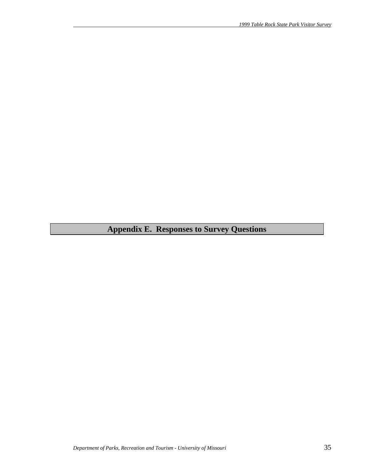# **Appendix E. Responses to Survey Questions**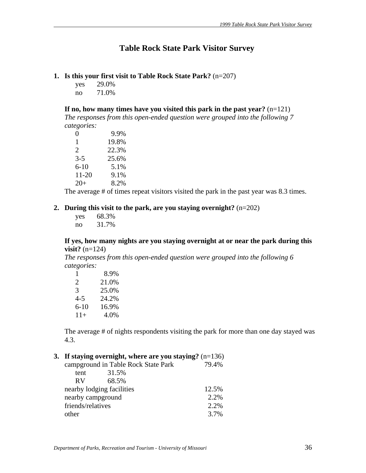# **Table Rock State Park Visitor Survey**

#### **1. Is this your first visit to Table Rock State Park?** (n=207)

yes 29.0% no 71.0%

**If no, how many times have you visited this park in the past year?** (n=121)

*The responses from this open-ended question were grouped into the following 7 categories:*

| 0        | 9.9%  |
|----------|-------|
| 1        | 19.8% |
| 2        | 22.3% |
| $3 - 5$  | 25.6% |
| $6 - 10$ | 5.1%  |
| 11-20    | 9.1%  |
| $20+$    | 8.2%  |

The average # of times repeat visitors visited the park in the past year was 8.3 times.

#### **2. During this visit to the park, are you staying overnight?** (n=202)

| yes | 68.3% |
|-----|-------|
| no  | 31.7% |

#### **If yes, how many nights are you staying overnight at or near the park during this visit?** (n=124)

*The responses from this open-ended question were grouped into the following 6 categories:*

| 1                     | 8.9%  |
|-----------------------|-------|
| $\mathcal{D}_{\cdot}$ | 21.0% |
| 3                     | 25.0% |
| 4-5                   | 24.2% |
| $6 - 10$              | 16.9% |
| $11+$                 | 4.0%  |

The average # of nights respondents visiting the park for more than one day stayed was 4.3.

# **3. If staying overnight, where are you staying?** (n=136)

| campground in Table Rock State Park<br>79.4% |
|----------------------------------------------|
|                                              |
|                                              |
| 12.5%                                        |
| 2.2%                                         |
| 2.2%                                         |
| 3.7%                                         |
|                                              |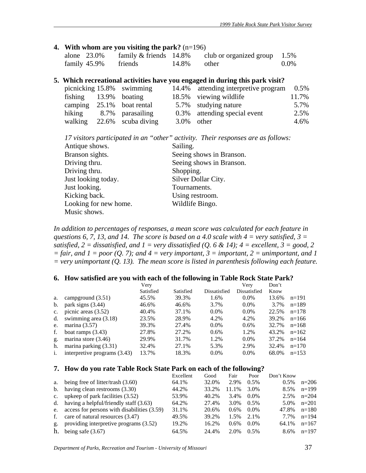# **4. With whom are you visiting the park?** (n=196)

| alone 23.0%  | family $&$ friends 14.8% | club or organized group $1.5\%$ |         |
|--------------|--------------------------|---------------------------------|---------|
| family 45.9% | friends                  | $14.8\%$ other                  | $0.0\%$ |

### **5. Which recreational activities have you engaged in during this park visit?**

|                       | picnicking 15.8% swimming |               | 14.4% attending interpretive program 0.5% |       |
|-----------------------|---------------------------|---------------|-------------------------------------------|-------|
| fishing 13.9% boating |                           |               | 18.5% viewing wildlife                    | 11.7% |
|                       | camping 25.1% boat rental |               | 5.7% studying nature                      | 5.7%  |
|                       | hiking 8.7% parasailing   |               | 0.3% attending special event              | 2.5%  |
| walking               | 22.6% scuba diving        | $3.0\%$ other |                                           | 4.6%  |

|                       | 17 visitors participated in an "other" activity. Their responses are as follows: |
|-----------------------|----------------------------------------------------------------------------------|
| Antique shows.        | Sailing.                                                                         |
| Branson sights.       | Seeing shows in Branson.                                                         |
| Driving thru.         | Seeing shows in Branson.                                                         |
| Driving thru.         | Shopping.                                                                        |
| Just looking today.   | Silver Dollar City.                                                              |
| Just looking.         | Tournaments.                                                                     |
| Kicking back.         | Using restroom.                                                                  |
| Looking for new home. | Wildlife Bingo.                                                                  |
| Music shows.          |                                                                                  |

*In addition to percentages of responses, a mean score was calculated for each feature in questions 6, 7, 13, and 14. The score is based on a 4.0 scale with 4 = very satisfied, 3 = satisfied,*  $2 =$  *dissatisfied, and*  $1 =$  *very dissatisfied (Q, 6 & 14);*  $4 =$  *excellent,*  $3 =$  good, 2  $=$  fair, and  $1 =$  poor (Q. 7); and  $4 =$  very important,  $3 =$  important,  $2 =$  unimportant, and 1 *= very unimportant (Q. 13). The mean score is listed in parenthesis following each feature.* 

#### **6. How satisfied are you with each of the following in Table Rock State Park?**

|                |                              | Very      |           |              | Very         | Don't |         |
|----------------|------------------------------|-----------|-----------|--------------|--------------|-------|---------|
|                |                              | Satisfied | Satisfied | Dissatisfied | Dissatisfied | Know  |         |
| a.             | campground $(3.51)$          | 45.5%     | 39.3%     | 1.6%         | $0.0\%$      | 13.6% | $n=191$ |
| b.             | park signs (3.44)            | 46.6%     | 46.6%     | 3.7%         | $0.0\%$      | 3.7%  | $n=189$ |
| $c_{\cdot}$    | picnic areas $(3.52)$        | 40.4%     | 37.1%     | $0.0\%$      | $0.0\%$      | 22.5% | $n=178$ |
| d.             | swimming area (3.18)         | 23.5%     | 28.9%     | 4.2%         | 4.2%         | 39.2% | $n=166$ |
| e.             | marina $(3.57)$              | 39.3%     | 27.4%     | $0.0\%$      | $0.6\%$      | 32.7% | $n=168$ |
| f.             | boat ramps $(3.43)$          | 27.8%     | 27.2%     | $0.6\%$      | 1.2%         | 43.2% | $n=162$ |
| g.             | marina store $(3.46)$        | 29.9%     | 31.7%     | 1.2%         | $0.0\%$      | 37.2% | $n=164$ |
| h.             | marina parking (3.31)        | 32.4%     | 27.1%     | 5.3%         | 2.9%         | 32.4% | $n=170$ |
| $\mathbf{i}$ . | interpretive programs (3.43) | 13.7%     | 18.3%     | $0.0\%$      | $0.0\%$      | 68.0% | $n=153$ |

#### **7. How do you rate Table Rock State Park on each of the following?**

|    |                                                | Excellent | Good  | Fair    | Poor    | Don't Know |         |
|----|------------------------------------------------|-----------|-------|---------|---------|------------|---------|
| a. | being free of litter/trash (3.60)              | 64.1%     | 32.0% | 2.9%    | $0.5\%$ | $0.5\%$    | $n=206$ |
|    | b. having clean restrooms $(3.30)$             | 44.2%     | 33.2% | 11.1%   | 3.0%    | 8.5%       | $n=199$ |
|    | c. upkeep of park facilities $(3.52)$          | 53.9%     | 40.2% | 3.4%    | $0.0\%$ | 2.5%       | $n=204$ |
|    | d. having a helpful/friendly staff $(3.63)$    | 64.2%     | 27.4% | 3.0%    | $0.5\%$ | 5.0%       | $n=201$ |
|    | e. access for persons with disabilities (3.59) | 31.1%     | 20.6% | $0.6\%$ | $0.0\%$ | 47.8%      | $n=180$ |
| f. | care of natural resources (3.47)               | 49.5%     | 39.2% | 1.5%    | 2.1%    | 7.7%       | $n=194$ |
| g. | providing interpretive programs (3.52)         | 19.2%     | 16.2% | 0.6%    | $0.0\%$ | 64.1%      | $n=167$ |
| h. | being safe $(3.67)$                            | 64.5%     | 24.4% | 2.0%    | 0.5%    | 8.6%       | $n=197$ |

*Department of Parks, Recreation and Tourism - University of Missouri* 37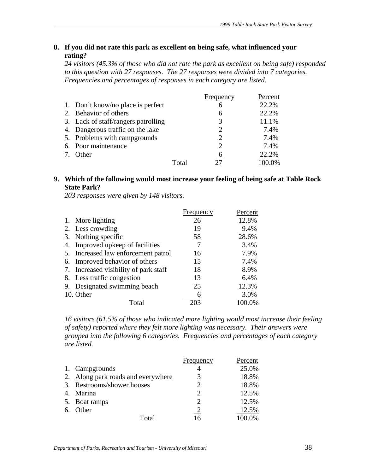# **8. If you did not rate this park as excellent on being safe, what influenced your rating?**

*24 visitors (45.3% of those who did not rate the park as excellent on being safe) responded to this question with 27 responses. The 27 responses were divided into 7 categories. Frequencies and percentages of responses in each category are listed.* 

|                                     |       | Frequency      | Percent |
|-------------------------------------|-------|----------------|---------|
| 1. Don't know/no place is perfect   |       | 6              | 22.2%   |
| 2. Behavior of others               |       | 6              | 22.2%   |
| 3. Lack of staff/rangers patrolling |       | 3              | 11.1%   |
| 4. Dangerous traffic on the lake    |       | 2              | 7.4%    |
| 5. Problems with campgrounds        |       | 2              | 7.4%    |
| 6. Poor maintenance                 |       | $\overline{2}$ | 7.4%    |
| Other                               |       | 6              | 22.2%   |
|                                     | Total |                | 100.0%  |

# **9. Which of the following would most increase your feeling of being safe at Table Rock State Park?**

*203 responses were given by 148 visitors.*

|    |                                       | Frequency | Percent |
|----|---------------------------------------|-----------|---------|
|    | 1. More lighting                      | 26        | 12.8%   |
|    | 2. Less crowding                      | 19        | 9.4%    |
|    | 3. Nothing specific                   | 58        | 28.6%   |
| 4. | Improved upkeep of facilities         |           | 3.4%    |
|    | 5. Increased law enforcement patrol   | 16        | 7.9%    |
|    | 6. Improved behavior of others        | 15        | 7.4%    |
|    | 7. Increased visibility of park staff | 18        | 8.9%    |
|    | 8. Less traffic congestion            | 13        | 6.4%    |
|    | 9. Designated swimming beach          | 25        | 12.3%   |
|    | 10. Other                             | 6         | 3.0%    |
|    | Total                                 | 203       | 100.0%  |

*16 visitors (61.5% of those who indicated more lighting would most increase their feeling of safety) reported where they felt more lighting was necessary. Their answers were grouped into the following 6 categories. Frequencies and percentages of each category are listed.*

|                                    | Frequency                   | Percent |
|------------------------------------|-----------------------------|---------|
| 1. Campgrounds                     |                             | 25.0%   |
| 2. Along park roads and everywhere |                             | 18.8%   |
| 3. Restrooms/shower houses         |                             | 18.8%   |
| 4. Marina                          | $\mathcal{D}_{\mathcal{A}}$ | 12.5%   |
| 5. Boat ramps                      | $\mathcal{D}_{\mathcal{A}}$ | 12.5%   |
| 6. Other                           |                             | 12.5%   |
| Total                              | 16                          | 100.0%  |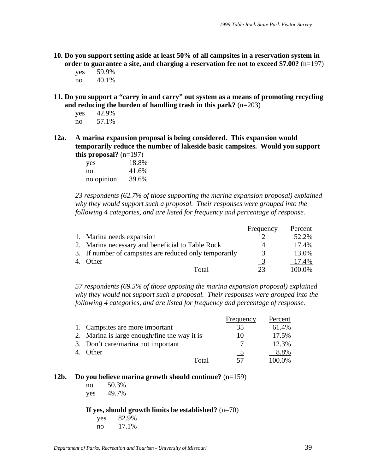- **10. Do you support setting aside at least 50% of all campsites in a reservation system in order to guarantee a site, and charging a reservation fee not to exceed \$7.00?** (n=197)
	- yes 59.9%
	- no 40.1%
- **11. Do you support a "carry in and carry" out system as a means of promoting recycling and reducing the burden of handling trash in this park?** (n=203)
	- yes 42.9% no 57.1%
- **12a. A marina expansion proposal is being considered. This expansion would temporarily reduce the number of lakeside basic campsites. Would you support this proposal?** (n=197)

| yes        | 18.8% |
|------------|-------|
| no         | 41.6% |
| no opinion | 39.6% |

*23 respondents (62.7% of those supporting the marina expansion proposal) explained why they would support such a proposal. Their responses were grouped into the following 4 categories, and are listed for frequency and percentage of response.*

|                                                        | Frequency | Percent |
|--------------------------------------------------------|-----------|---------|
| 1. Marina needs expansion                              |           | 52.2%   |
| 2. Marina necessary and beneficial to Table Rock       | 4         | 17.4%   |
| 3. If number of campsites are reduced only temporarily | 3         | 13.0%   |
| <b>Other</b>                                           |           | 17.4%   |
| Total                                                  | つつ        | 100.0%  |

*57 respondents (69.5% of those opposing the marina expansion proposal) explained why they would not support such a proposal. Their responses were grouped into the following 4 categories, and are listed for frequency and percentage of response.*

|                                              | Frequency                | Percent |
|----------------------------------------------|--------------------------|---------|
| 1. Campsites are more important              | 35                       | 61.4%   |
| 2. Marina is large enough/fine the way it is | $\mathbf{I}(\mathbf{I})$ | 17.5%   |
| 3. Don't care/marina not important           |                          | 12.3%   |
| Other                                        |                          | 8.8%    |
| Total                                        | 57                       | 100.0%  |

#### **12b. Do you believe marina growth should continue?** (n=159)

| no  | 50.3% |
|-----|-------|
| yes | 49.7% |

#### **If yes, should growth limits be established?** (n=70)

 yes 82.9% no 17.1%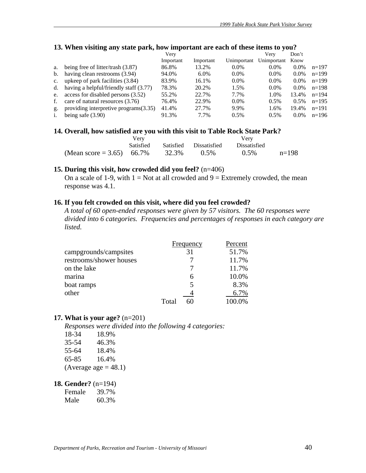|             | 0<br>$\overline{a}$<br>$\overline{\phantom{a}}$ |           |           |             |             |         |         |
|-------------|-------------------------------------------------|-----------|-----------|-------------|-------------|---------|---------|
|             |                                                 | Verv      |           |             | Very        | Don't   |         |
|             |                                                 | Important | Important | Unimportant | Unimportant | Know    |         |
| a.          | being free of litter/trash $(3.87)$             | 86.8%     | 13.2%     | 0.0%        | $0.0\%$     | $0.0\%$ | $n=197$ |
| b.          | having clean restrooms (3.94)                   | 94.0%     | $6.0\%$   | $0.0\%$     | $0.0\%$     | $0.0\%$ | $n=199$ |
| $c_{\cdot}$ | upkeep of park facilities (3.84)                | 83.9%     | 16.1%     | $0.0\%$     | $0.0\%$     | $0.0\%$ | $n=199$ |
| d.          | having a helpful/friendly staff (3.77)          | 78.3%     | 20.2%     | 1.5%        | $0.0\%$     | $0.0\%$ | $n=198$ |
| e.          | access for disabled persons (3.52)              | 55.2%     | 22.7%     | 7.7%        | 1.0%        | 13.4%   | $n=194$ |
| f.          | care of natural resources (3.76)                | 76.4%     | 22.9%     | $0.0\%$     | 0.5%        | $0.5\%$ | $n=195$ |
| g.          | providing interpretive programs (3.35)          | 41.4%     | 27.7%     | 9.9%        | 1.6%        | 19.4%   | $n=191$ |
|             | being safe $(3.90)$                             | 91.3%     | 7.7%      | 0.5%        | 0.5%        | $0.0\%$ | $n=196$ |
|             |                                                 |           |           |             |             |         |         |

#### **13. When visiting any state park, how important are each of these items to you?**

#### 14. Overall, how satisfied are you with this visit to Table Rock State Park?

|                           | Very             |       |                        |                     |         |
|---------------------------|------------------|-------|------------------------|---------------------|---------|
|                           | <b>Satisfied</b> |       | Satisfied Dissatisfied | <b>Dissatisfied</b> |         |
| (Mean score = 3.65) 66.7% |                  | 32.3% | $0.5\%$                | $0.5\%$             | $n=198$ |

#### **15. During this visit, how crowded did you feel?** (n=406)

On a scale of 1-9, with  $1 = Not$  at all crowded and  $9 = Extremely$  crowded, the mean response was 4.1.

#### **16. If you felt crowded on this visit, where did you feel crowded?**

*A total of 60 open-ended responses were given by 57 visitors. The 60 responses were divided into 6 categories. Frequencies and percentages of responses in each category are listed.* 

|                         | Frequency | Percent |
|-------------------------|-----------|---------|
| campgrounds/campsites   | 31        | 51.7%   |
| restrooms/shower houses |           | 11.7%   |
| on the lake             |           | 11.7%   |
| marina                  | 6         | 10.0%   |
| boat ramps              |           | 8.3%    |
| other                   |           | 6.7%    |
|                         | Total     | 100.0%  |

#### **17. What is your age?** (n=201)

*Responses were divided into the following 4 categories:*

| 18-34 | 18.9%                   |
|-------|-------------------------|
| 35-54 | 46.3%                   |
| 55-64 | 18.4%                   |
| 65-85 | 16.4%                   |
|       | (Average age $= 48.1$ ) |

#### **18. Gender?** (n=194)

Female 39.7%

Male 60.3%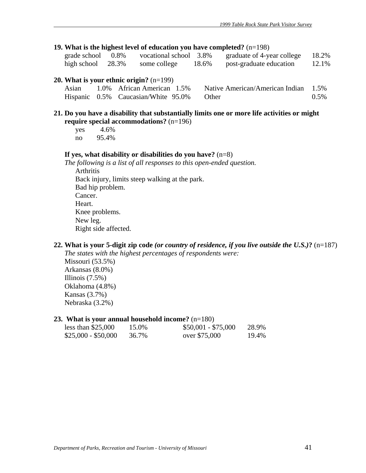#### **19. What is the highest level of education you have completed?** (n=198)

| grade school         | 0.8% | vocational school 3.8% |       | graduate of 4-year college | 18.2% |
|----------------------|------|------------------------|-------|----------------------------|-------|
| high school $28.3\%$ |      | some college           | 18.6% | post-graduate education    | 12.1% |

#### **20. What is your ethnic origin?** (n=199)

| Asian | 1.0% African American 1.5%                | Native American/American Indian 1.5% |         |
|-------|-------------------------------------------|--------------------------------------|---------|
|       | Hispanic 0.5% Caucasian/White 95.0% Other |                                      | $0.5\%$ |

#### **21. Do you have a disability that substantially limits one or more life activities or might require special accommodations?** (n=196)

| yes | 4.6%  |
|-----|-------|
| no  | 95.4% |

#### **If yes, what disability or disabilities do you have?** (n=8)

*The following is a list of all responses to this open-ended question.*  Arthritis Back injury, limits steep walking at the park. Bad hip problem. Cancer. Heart. Knee problems. New leg. Right side affected.

#### **22. What is your 5-digit zip code** *(or country of residence, if you live outside the U.S.)***?** (n=187)

*The states with the highest percentages of respondents were:*  Missouri (53.5%) Arkansas (8.0%) Illinois (7.5%) Oklahoma (4.8%) Kansas (3.7%) Nebraska (3.2%)

#### **23. What is your annual household income?** (n=180)

| less than $$25,000$ | 15.0% | $$50,001 - $75,000$ | 28.9% |
|---------------------|-------|---------------------|-------|
| \$25,000 - \$50,000 | 36.7% | over \$75,000       | 19.4% |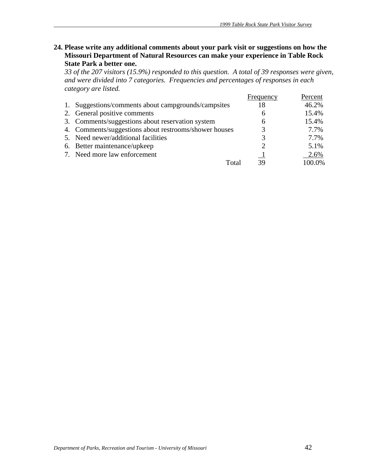**24. Please write any additional comments about your park visit or suggestions on how the Missouri Department of Natural Resources can make your experience in Table Rock State Park a better one.** 

*33 of the 207 visitors (15.9%) responded to this question. A total of 39 responses were given, and were divided into 7 categories. Frequencies and percentages of responses in each category are listed.*

|                                                       | Frequency | Percent |
|-------------------------------------------------------|-----------|---------|
| 1. Suggestions/comments about campgrounds/campsites   | 18        | 46.2%   |
| 2. General positive comments                          | 6         | 15.4%   |
| 3. Comments/suggestions about reservation system      | 6         | 15.4%   |
| 4. Comments/suggestions about restrooms/shower houses |           | 7.7%    |
| 5. Need newer/additional facilities                   |           | 7.7%    |
| 6. Better maintenance/upkeep                          |           | 5.1%    |
| 7. Need more law enforcement                          |           | 2.6%    |
| Total                                                 | 39        | 100.0%  |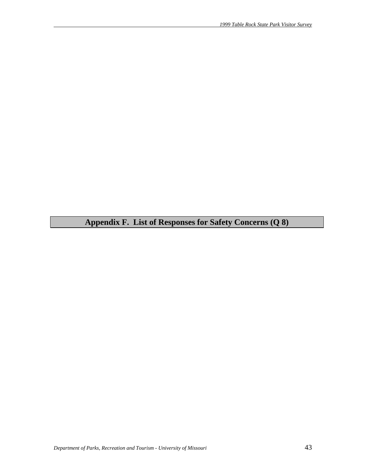**Appendix F. List of Responses for Safety Concerns (Q 8)**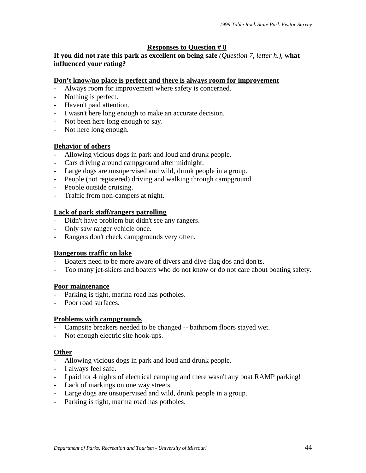# **Responses to Question # 8**

**If you did not rate this park as excellent on being safe** *(Question 7, letter h.),* **what influenced your rating?** 

#### **Don't know/no place is perfect and there is always room for improvement**

- Always room for improvement where safety is concerned.
- Nothing is perfect.
- Haven't paid attention.
- I wasn't here long enough to make an accurate decision.
- Not been here long enough to say.
- Not here long enough.

#### **Behavior of others**

- Allowing vicious dogs in park and loud and drunk people.
- Cars driving around campground after midnight.
- Large dogs are unsupervised and wild, drunk people in a group.
- People (not registered) driving and walking through campground.
- People outside cruising.
- Traffic from non-campers at night.

#### **Lack of park staff/rangers patrolling**

- Didn't have problem but didn't see any rangers.
- Only saw ranger vehicle once.
- Rangers don't check campgrounds very often.

#### **Dangerous traffic on lake**

- Boaters need to be more aware of divers and dive-flag dos and don'ts.
- Too many jet-skiers and boaters who do not know or do not care about boating safety.

# **Poor maintenance**

- Parking is tight, marina road has potholes.
- Poor road surfaces.

#### **Problems with campgrounds**

- Campsite breakers needed to be changed -- bathroom floors stayed wet.
- Not enough electric site hook-ups.

#### **Other**

- Allowing vicious dogs in park and loud and drunk people.
- I always feel safe.
- I paid for 4 nights of electrical camping and there wasn't any boat RAMP parking!
- Lack of markings on one way streets.
- Large dogs are unsupervised and wild, drunk people in a group.
- Parking is tight, marina road has potholes.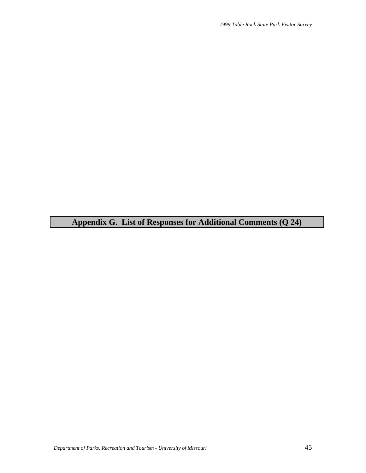**Appendix G. List of Responses for Additional Comments (Q 24)**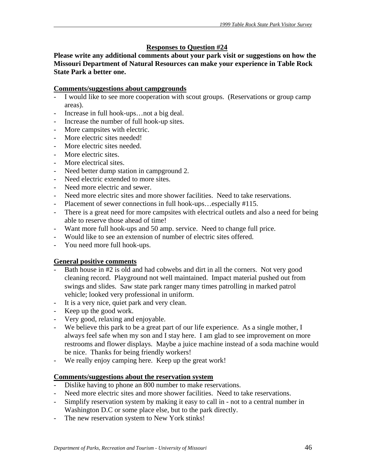# **Responses to Question #24**

**Please write any additional comments about your park visit or suggestions on how the Missouri Department of Natural Resources can make your experience in Table Rock State Park a better one.** 

#### **Comments/suggestions about campgrounds**

- I would like to see more cooperation with scout groups. (Reservations or group camp areas).
- Increase in full hook-ups...not a big deal.
- Increase the number of full hook-up sites.
- More campsites with electric.
- More electric sites needed!
- More electric sites needed.
- More electric sites.
- More electrical sites.
- Need better dump station in campground 2.
- Need electric extended to more sites.
- Need more electric and sewer.
- Need more electric sites and more shower facilities. Need to take reservations.
- Placement of sewer connections in full hook-ups...especially #115.
- There is a great need for more campsites with electrical outlets and also a need for being able to reserve those ahead of time!
- Want more full hook-ups and 50 amp. service. Need to change full price.
- Would like to see an extension of number of electric sites offered.
- You need more full hook-ups.

#### **General positive comments**

- Bath house in #2 is old and had cobwebs and dirt in all the corners. Not very good cleaning record. Playground not well maintained. Impact material pushed out from swings and slides. Saw state park ranger many times patrolling in marked patrol vehicle; looked very professional in uniform.
- It is a very nice, quiet park and very clean.
- Keep up the good work.
- Very good, relaxing and enjoyable.
- We believe this park to be a great part of our life experience. As a single mother, I always feel safe when my son and I stay here. I am glad to see improvement on more restrooms and flower displays. Maybe a juice machine instead of a soda machine would be nice. Thanks for being friendly workers!
- We really enjoy camping here. Keep up the great work!

#### **Comments/suggestions about the reservation system**

- Dislike having to phone an 800 number to make reservations.
- Need more electric sites and more shower facilities. Need to take reservations.
- Simplify reservation system by making it easy to call in not to a central number in Washington D.C or some place else, but to the park directly.
- The new reservation system to New York stinks!